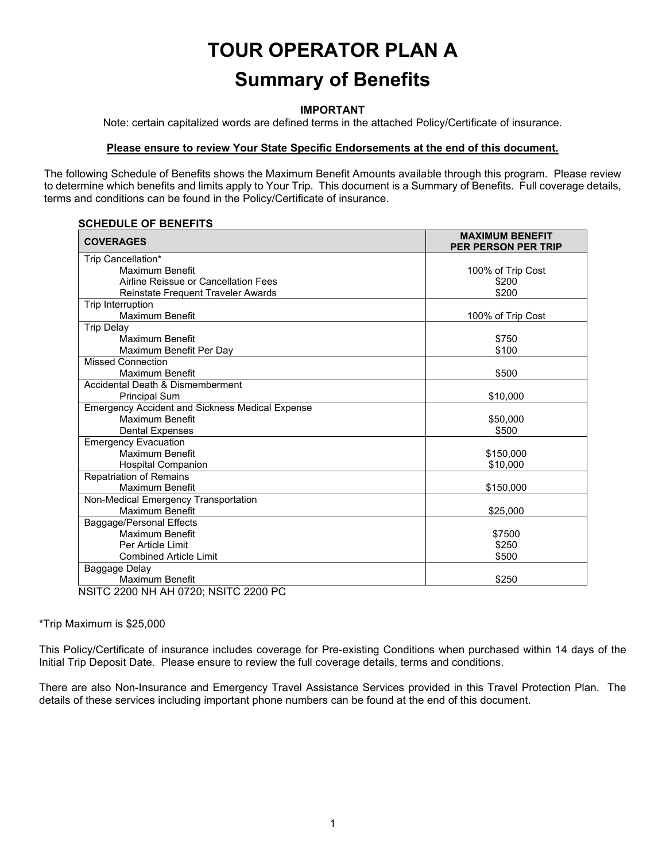# **TOUR OPERATOR PLAN A Summary of Benefits**

#### **IMPORTANT**

Note: certain capitalized words are defined terms in the attached Policy/Certificate of insurance.

#### **Please ensure to review Your State Specific Endorsements at the end of this document.**

The following Schedule of Benefits shows the Maximum Benefit Amounts available through this program. Please review to determine which benefits and limits apply to Your Trip. This document is a Summary of Benefits. Full coverage details, terms and conditions can be found in the Policy/Certificate of insurance.

#### **SCHEDULE OF BENEFITS**

| <b>COVERAGES</b>                                       | <b>MAXIMUM BENEFIT</b><br><b>PER PERSON PER TRIP</b> |
|--------------------------------------------------------|------------------------------------------------------|
| Trip Cancellation*                                     |                                                      |
| Maximum Benefit                                        | 100% of Trip Cost                                    |
| Airline Reissue or Cancellation Fees                   | \$200                                                |
| Reinstate Frequent Traveler Awards                     | \$200                                                |
| Trip Interruption                                      |                                                      |
| Maximum Benefit                                        | 100% of Trip Cost                                    |
| <b>Trip Delay</b>                                      |                                                      |
| Maximum Benefit                                        | \$750                                                |
| Maximum Benefit Per Day                                | \$100                                                |
| <b>Missed Connection</b>                               |                                                      |
| <b>Maximum Benefit</b>                                 | \$500                                                |
| Accidental Death & Dismemberment                       |                                                      |
| <b>Principal Sum</b>                                   | \$10,000                                             |
| <b>Emergency Accident and Sickness Medical Expense</b> |                                                      |
| Maximum Benefit                                        | \$50,000                                             |
| <b>Dental Expenses</b>                                 | \$500                                                |
| <b>Emergency Evacuation</b>                            |                                                      |
| Maximum Benefit                                        | \$150,000                                            |
| <b>Hospital Companion</b>                              | \$10,000                                             |
| <b>Repatriation of Remains</b>                         |                                                      |
| Maximum Benefit                                        | \$150,000                                            |
| Non-Medical Emergency Transportation                   |                                                      |
| Maximum Benefit                                        | \$25,000                                             |
| Baggage/Personal Effects                               |                                                      |
| Maximum Benefit                                        | \$7500                                               |
| Per Article Limit                                      | \$250                                                |
| <b>Combined Article Limit</b>                          | \$500                                                |
| Baggage Delay                                          |                                                      |
| <b>Maximum Benefit</b><br>$\cdots$                     | \$250                                                |

NSITC 2200 NH AH 0720; NSITC 2200 PC

\*Trip Maximum is \$25,000

This Policy/Certificate of insurance includes coverage for Pre-existing Conditions when purchased within 14 days of the Initial Trip Deposit Date. Please ensure to review the full coverage details, terms and conditions.

There are also Non-Insurance and Emergency Travel Assistance Services provided in this Travel Protection Plan. The details of these services including important phone numbers can be found at the end of this document.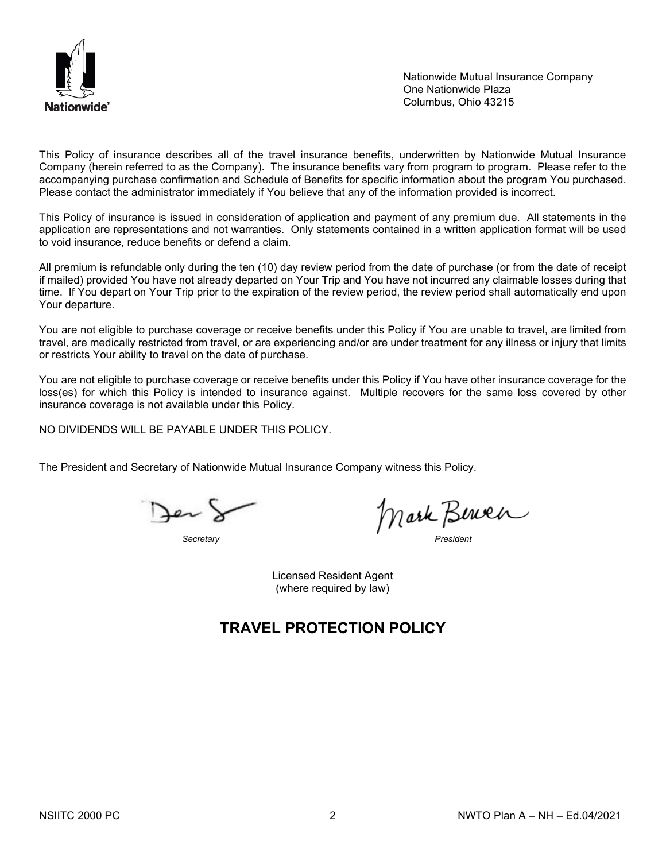

Nationwide Mutual Insurance Company One Nationwide Plaza Columbus, Ohio 43215

This Policy of insurance describes all of the travel insurance benefits, underwritten by Nationwide Mutual Insurance Company (herein referred to as the Company). The insurance benefits vary from program to program. Please refer to the accompanying purchase confirmation and Schedule of Benefits for specific information about the program You purchased. Please contact the administrator immediately if You believe that any of the information provided is incorrect.

This Policy of insurance is issued in consideration of application and payment of any premium due. All statements in the application are representations and not warranties. Only statements contained in a written application format will be used to void insurance, reduce benefits or defend a claim.

All premium is refundable only during the ten (10) day review period from the date of purchase (or from the date of receipt if mailed) provided You have not already departed on Your Trip and You have not incurred any claimable losses during that time. If You depart on Your Trip prior to the expiration of the review period, the review period shall automatically end upon Your departure.

You are not eligible to purchase coverage or receive benefits under this Policy if You are unable to travel, are limited from travel, are medically restricted from travel, or are experiencing and/or are under treatment for any illness or injury that limits or restricts Your ability to travel on the date of purchase.

You are not eligible to purchase coverage or receive benefits under this Policy if You have other insurance coverage for the loss(es) for which this Policy is intended to insurance against. Multiple recovers for the same loss covered by other insurance coverage is not available under this Policy.

NO DIVIDENDS WILL BE PAYABLE UNDER THIS POLICY.

The President and Secretary of Nationwide Mutual Insurance Company witness this Policy.

*Secretary President*

Licensed Resident Agent (where required by law)

## **TRAVEL PROTECTION POLICY**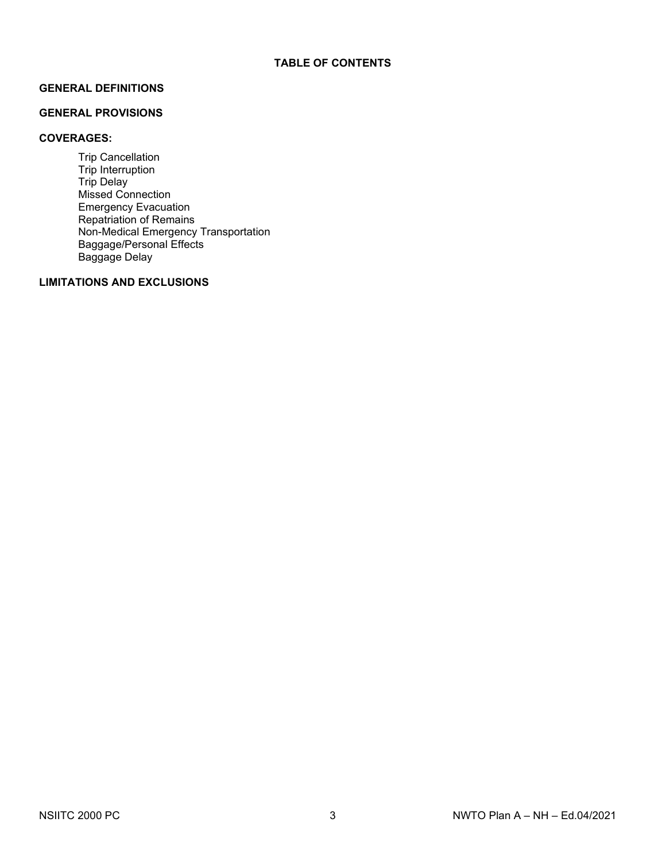## **GENERAL DEFINITIONS**

## **GENERAL PROVISIONS**

## **COVERAGES:**

Trip Cancellation Trip Interruption Trip Delay Missed Connection Emergency Evacuation Repatriation of Remains Non-Medical Emergency Transportation Baggage/Personal Effects Baggage Delay

## **LIMITATIONS AND EXCLUSIONS**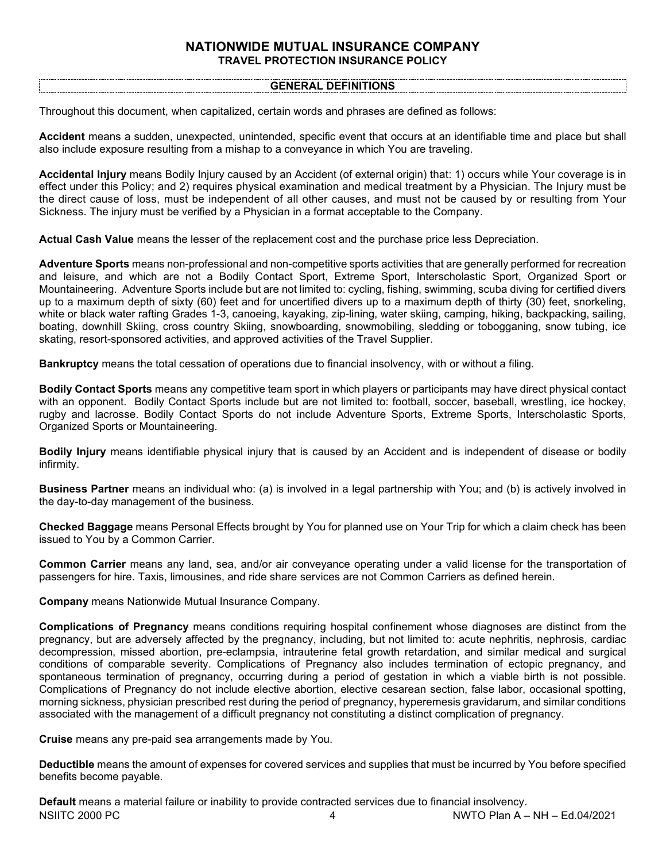## **NATIONWIDE MUTUAL INSURANCE COMPANY TRAVEL PROTECTION INSURANCE POLICY**

### **GENERAL DEFINITIONS**

Throughout this document, when capitalized, certain words and phrases are defined as follows:

**Accident** means a sudden, unexpected, unintended, specific event that occurs at an identifiable time and place but shall also include exposure resulting from a mishap to a conveyance in which You are traveling.

**Accidental Injury** means Bodily Injury caused by an Accident (of external origin) that: 1) occurs while Your coverage is in effect under this Policy; and 2) requires physical examination and medical treatment by a Physician. The Injury must be the direct cause of loss, must be independent of all other causes, and must not be caused by or resulting from Your Sickness. The injury must be verified by a Physician in a format acceptable to the Company.

**Actual Cash Value** means the lesser of the replacement cost and the purchase price less Depreciation.

**Adventure Sports** means non-professional and non-competitive sports activities that are generally performed for recreation and leisure, and which are not a Bodily Contact Sport, Extreme Sport, Interscholastic Sport, Organized Sport or Mountaineering. Adventure Sports include but are not limited to: cycling, fishing, swimming, scuba diving for certified divers up to a maximum depth of sixty (60) feet and for uncertified divers up to a maximum depth of thirty (30) feet, snorkeling, white or black water rafting Grades 1-3, canoeing, kayaking, zip-lining, water skiing, camping, hiking, backpacking, sailing, boating, downhill Skiing, cross country Skiing, snowboarding, snowmobiling, sledding or tobogganing, snow tubing, ice skating, resort-sponsored activities, and approved activities of the Travel Supplier.

**Bankruptcy** means the total cessation of operations due to financial insolvency, with or without a filing.

**Bodily Contact Sports** means any competitive team sport in which players or participants may have direct physical contact with an opponent. Bodily Contact Sports include but are not limited to: football, soccer, baseball, wrestling, ice hockey, rugby and lacrosse. Bodily Contact Sports do not include Adventure Sports, Extreme Sports, Interscholastic Sports, Organized Sports or Mountaineering.

**Bodily Injury** means identifiable physical injury that is caused by an Accident and is independent of disease or bodily infirmity.

**Business Partner** means an individual who: (a) is involved in a legal partnership with You; and (b) is actively involved in the day-to-day management of the business.

**Checked Baggage** means Personal Effects brought by You for planned use on Your Trip for which a claim check has been issued to You by a Common Carrier.

**Common Carrier** means any land, sea, and/or air conveyance operating under a valid license for the transportation of passengers for hire. Taxis, limousines, and ride share services are not Common Carriers as defined herein.

**Company** means Nationwide Mutual Insurance Company.

**Complications of Pregnancy** means conditions requiring hospital confinement whose diagnoses are distinct from the pregnancy, but are adversely affected by the pregnancy, including, but not limited to: acute nephritis, nephrosis, cardiac decompression, missed abortion, pre-eclampsia, intrauterine fetal growth retardation, and similar medical and surgical conditions of comparable severity. Complications of Pregnancy also includes termination of ectopic pregnancy, and spontaneous termination of pregnancy, occurring during a period of gestation in which a viable birth is not possible. Complications of Pregnancy do not include elective abortion, elective cesarean section, false labor, occasional spotting, morning sickness, physician prescribed rest during the period of pregnancy, hyperemesis gravidarum, and similar conditions associated with the management of a difficult pregnancy not constituting a distinct complication of pregnancy.

**Cruise** means any pre-paid sea arrangements made by You.

**Deductible** means the amount of expenses for covered services and supplies that must be incurred by You before specified benefits become payable.

NSIITC 2000 PC 4 NWTO Plan A – NH – Ed.04/2021 **Default** means a material failure or inability to provide contracted services due to financial insolvency.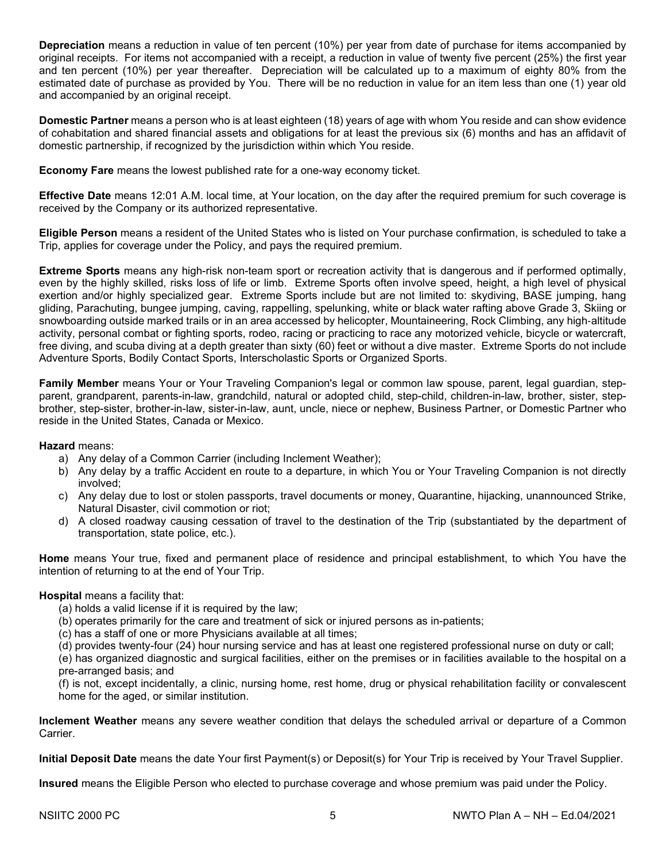**Depreciation** means a reduction in value of ten percent (10%) per year from date of purchase for items accompanied by original receipts. For items not accompanied with a receipt, a reduction in value of twenty five percent (25%) the first year and ten percent (10%) per year thereafter. Depreciation will be calculated up to a maximum of eighty 80% from the estimated date of purchase as provided by You. There will be no reduction in value for an item less than one (1) year old and accompanied by an original receipt.

**Domestic Partner** means a person who is at least eighteen (18) years of age with whom You reside and can show evidence of cohabitation and shared financial assets and obligations for at least the previous six (6) months and has an affidavit of domestic partnership, if recognized by the jurisdiction within which You reside.

**Economy Fare** means the lowest published rate for a one-way economy ticket.

**Effective Date** means 12:01 A.M. local time, at Your location, on the day after the required premium for such coverage is received by the Company or its authorized representative.

**Eligible Person** means a resident of the United States who is listed on Your purchase confirmation, is scheduled to take a Trip, applies for coverage under the Policy, and pays the required premium.

**Extreme Sports** means any high-risk non-team sport or recreation activity that is dangerous and if performed optimally, even by the highly skilled, risks loss of life or limb. Extreme Sports often involve speed, height, a high level of physical exertion and/or highly specialized gear. Extreme Sports include but are not limited to: skydiving, BASE jumping, hang gliding, Parachuting, bungee jumping, caving, rappelling, spelunking, white or black water rafting above Grade 3, Skiing or snowboarding outside marked trails or in an area accessed by helicopter, Mountaineering, Rock Climbing, any high‐altitude activity, personal combat or fighting sports, rodeo, racing or practicing to race any motorized vehicle, bicycle or watercraft, free diving, and scuba diving at a depth greater than sixty (60) feet or without a dive master. Extreme Sports do not include Adventure Sports, Bodily Contact Sports, Interscholastic Sports or Organized Sports.

**Family Member** means Your or Your Traveling Companion's legal or common law spouse, parent, legal guardian, stepparent, grandparent, parents-in-law, grandchild, natural or adopted child, step-child, children-in-law, brother, sister, stepbrother, step-sister, brother-in-law, sister-in-law, aunt, uncle, niece or nephew, Business Partner, or Domestic Partner who reside in the United States, Canada or Mexico.

#### **Hazard** means:

- a) Any delay of a Common Carrier (including Inclement Weather);
- b) Any delay by a traffic Accident en route to a departure, in which You or Your Traveling Companion is not directly involved;
- c) Any delay due to lost or stolen passports, travel documents or money, Quarantine, hijacking, unannounced Strike, Natural Disaster, civil commotion or riot;
- d) A closed roadway causing cessation of travel to the destination of the Trip (substantiated by the department of transportation, state police, etc.).

**Home** means Your true, fixed and permanent place of residence and principal establishment, to which You have the intention of returning to at the end of Your Trip.

## **Hospital** means a facility that:

- (a) holds a valid license if it is required by the law;
- (b) operates primarily for the care and treatment of sick or injured persons as in-patients;
- (c) has a staff of one or more Physicians available at all times;
- (d) provides twenty-four (24) hour nursing service and has at least one registered professional nurse on duty or call;

(e) has organized diagnostic and surgical facilities, either on the premises or in facilities available to the hospital on a pre-arranged basis; and

(f) is not, except incidentally, a clinic, nursing home, rest home, drug or physical rehabilitation facility or convalescent home for the aged, or similar institution.

**Inclement Weather** means any severe weather condition that delays the scheduled arrival or departure of a Common **Carrier** 

**Initial Deposit Date** means the date Your first Payment(s) or Deposit(s) for Your Trip is received by Your Travel Supplier.

**Insured** means the Eligible Person who elected to purchase coverage and whose premium was paid under the Policy.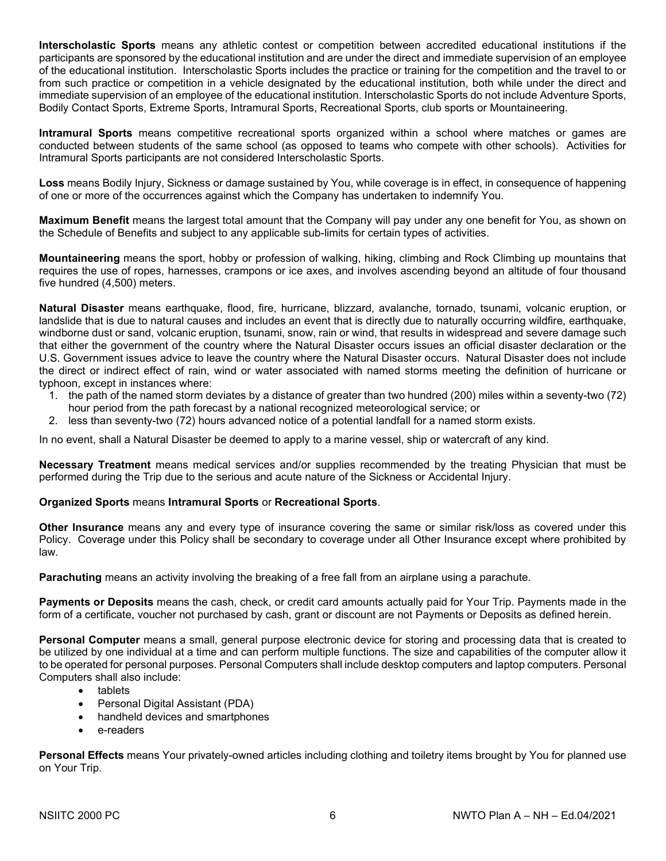**Interscholastic Sports** means any athletic contest or competition between accredited educational institutions if the participants are sponsored by the educational institution and are under the direct and immediate supervision of an employee of the educational institution. Interscholastic Sports includes the practice or training for the competition and the travel to or from such practice or competition in a vehicle designated by the educational institution, both while under the direct and immediate supervision of an employee of the educational institution. Interscholastic Sports do not include Adventure Sports, Bodily Contact Sports, Extreme Sports, Intramural Sports, Recreational Sports, club sports or Mountaineering.

**Intramural Sports** means competitive recreational sports organized within a school where matches or games are conducted between students of the same school (as opposed to teams who compete with other schools). Activities for Intramural Sports participants are not considered Interscholastic Sports.

**Loss** means Bodily Injury, Sickness or damage sustained by You, while coverage is in effect, in consequence of happening of one or more of the occurrences against which the Company has undertaken to indemnify You.

**Maximum Benefit** means the largest total amount that the Company will pay under any one benefit for You, as shown on the Schedule of Benefits and subject to any applicable sub-limits for certain types of activities.

**Mountaineering** means the sport, hobby or profession of walking, hiking, climbing and Rock Climbing up mountains that requires the use of ropes, harnesses, crampons or ice axes, and involves ascending beyond an altitude of four thousand five hundred (4,500) meters.

**Natural Disaster** means earthquake, flood, fire, hurricane, blizzard, avalanche, tornado, tsunami, volcanic eruption, or landslide that is due to natural causes and includes an event that is directly due to naturally occurring wildfire, earthquake, windborne dust or sand, volcanic eruption, tsunami, snow, rain or wind, that results in widespread and severe damage such that either the government of the country where the Natural Disaster occurs issues an official disaster declaration or the U.S. Government issues advice to leave the country where the Natural Disaster occurs. Natural Disaster does not include the direct or indirect effect of rain, wind or water associated with named storms meeting the definition of hurricane or typhoon, except in instances where:

- 1. the path of the named storm deviates by a distance of greater than two hundred (200) miles within a seventy-two (72) hour period from the path forecast by a national recognized meteorological service; or
- 2. less than seventy-two (72) hours advanced notice of a potential landfall for a named storm exists.

In no event, shall a Natural Disaster be deemed to apply to a marine vessel, ship or watercraft of any kind.

**Necessary Treatment** means medical services and/or supplies recommended by the treating Physician that must be performed during the Trip due to the serious and acute nature of the Sickness or Accidental Injury.

## **Organized Sports** means **Intramural Sports** or **Recreational Sports**.

**Other Insurance** means any and every type of insurance covering the same or similar risk/loss as covered under this Policy. Coverage under this Policy shall be secondary to coverage under all Other Insurance except where prohibited by law.

**Parachuting** means an activity involving the breaking of a free fall from an airplane using a parachute.

**Payments or Deposits** means the cash, check, or credit card amounts actually paid for Your Trip. Payments made in the form of a certificate, voucher not purchased by cash, grant or discount are not Payments or Deposits as defined herein.

**Personal Computer** means a small, general purpose electronic device for storing and processing data that is created to be utilized by one individual at a time and can perform multiple functions. The size and capabilities of the computer allow it to be operated for personal purposes. Personal Computers shall include desktop computers and laptop computers. Personal Computers shall also include:

- tablets
- Personal Digital Assistant (PDA)
- handheld devices and smartphones
- e-readers

**Personal Effects** means Your privately-owned articles including clothing and toiletry items brought by You for planned use on Your Trip.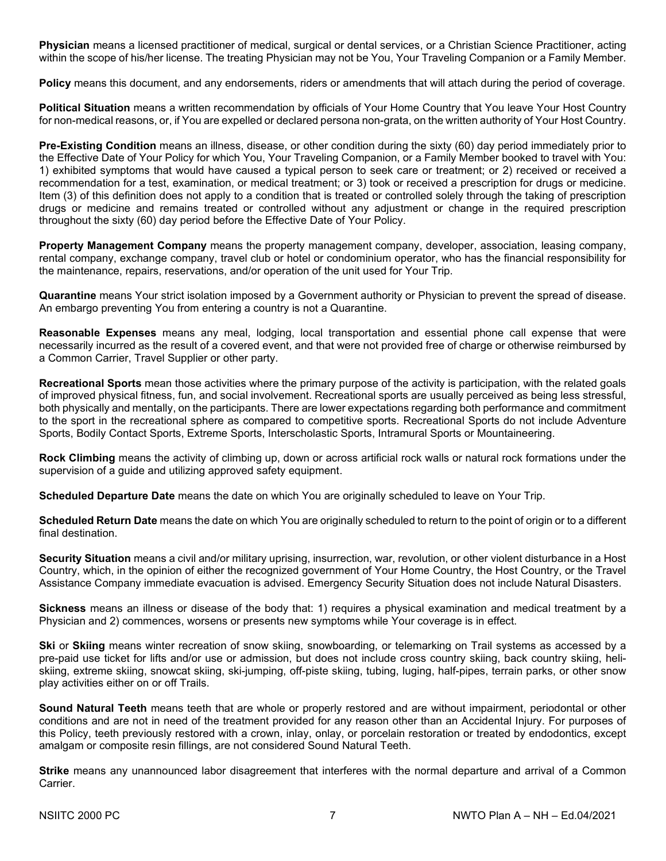**Physician** means a licensed practitioner of medical, surgical or dental services, or a Christian Science Practitioner, acting within the scope of his/her license. The treating Physician may not be You, Your Traveling Companion or a Family Member.

**Policy** means this document, and any endorsements, riders or amendments that will attach during the period of coverage.

**Political Situation** means a written recommendation by officials of Your Home Country that You leave Your Host Country for non-medical reasons, or, if You are expelled or declared persona non-grata, on the written authority of Your Host Country.

**Pre-Existing Condition** means an illness, disease, or other condition during the sixty (60) day period immediately prior to the Effective Date of Your Policy for which You, Your Traveling Companion, or a Family Member booked to travel with You: 1) exhibited symptoms that would have caused a typical person to seek care or treatment; or 2) received or received a recommendation for a test, examination, or medical treatment; or 3) took or received a prescription for drugs or medicine. Item (3) of this definition does not apply to a condition that is treated or controlled solely through the taking of prescription drugs or medicine and remains treated or controlled without any adjustment or change in the required prescription throughout the sixty (60) day period before the Effective Date of Your Policy.

**Property Management Company** means the property management company, developer, association, leasing company, rental company, exchange company, travel club or hotel or condominium operator, who has the financial responsibility for the maintenance, repairs, reservations, and/or operation of the unit used for Your Trip.

**Quarantine** means Your strict isolation imposed by a Government authority or Physician to prevent the spread of disease. An embargo preventing You from entering a country is not a Quarantine.

**Reasonable Expenses** means any meal, lodging, local transportation and essential phone call expense that were necessarily incurred as the result of a covered event, and that were not provided free of charge or otherwise reimbursed by a Common Carrier, Travel Supplier or other party.

**Recreational Sports** mean those activities where the primary purpose of the activity is participation, with the related goals of improved physical fitness, fun, and social involvement. Recreational sports are usually perceived as being less stressful, both physically and mentally, on the participants. There are lower expectations regarding both performance and commitment to the sport in the recreational sphere as compared to competitive sports. Recreational Sports do not include Adventure Sports, Bodily Contact Sports, Extreme Sports, Interscholastic Sports, Intramural Sports or Mountaineering.

**Rock Climbing** means the activity of climbing up, down or across artificial rock walls or natural rock formations under the supervision of a guide and utilizing approved safety equipment.

**Scheduled Departure Date** means the date on which You are originally scheduled to leave on Your Trip.

**Scheduled Return Date** means the date on which You are originally scheduled to return to the point of origin or to a different final destination.

**Security Situation** means a civil and/or military uprising, insurrection, war, revolution, or other violent disturbance in a Host Country, which, in the opinion of either the recognized government of Your Home Country, the Host Country, or the Travel Assistance Company immediate evacuation is advised. Emergency Security Situation does not include Natural Disasters.

**Sickness** means an illness or disease of the body that: 1) requires a physical examination and medical treatment by a Physician and 2) commences, worsens or presents new symptoms while Your coverage is in effect.

**Ski** or **Skiing** means winter recreation of snow skiing, snowboarding, or telemarking on Trail systems as accessed by a pre-paid use ticket for lifts and/or use or admission, but does not include cross country skiing, back country skiing, heliskiing, extreme skiing, snowcat skiing, ski-jumping, off-piste skiing, tubing, luging, half-pipes, terrain parks, or other snow play activities either on or off Trails.

**Sound Natural Teeth** means teeth that are whole or properly restored and are without impairment, periodontal or other conditions and are not in need of the treatment provided for any reason other than an Accidental Injury. For purposes of this Policy, teeth previously restored with a crown, inlay, onlay, or porcelain restoration or treated by endodontics, except amalgam or composite resin fillings, are not considered Sound Natural Teeth.

**Strike** means any unannounced labor disagreement that interferes with the normal departure and arrival of a Common Carrier.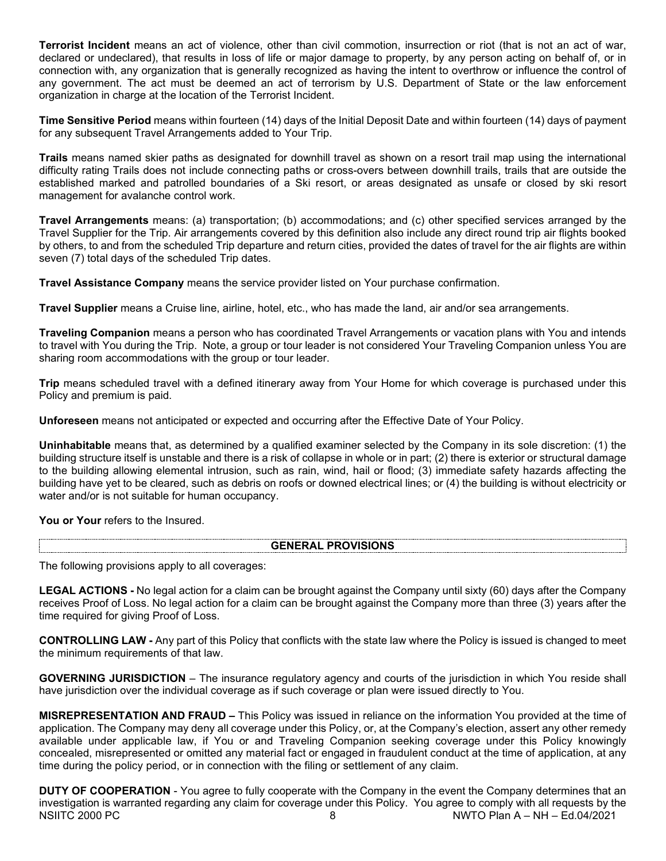**Terrorist Incident** means an act of violence, other than civil commotion, insurrection or riot (that is not an act of war, declared or undeclared), that results in loss of life or major damage to property, by any person acting on behalf of, or in connection with, any organization that is generally recognized as having the intent to overthrow or influence the control of any government. The act must be deemed an act of terrorism by U.S. Department of State or the law enforcement organization in charge at the location of the Terrorist Incident.

**Time Sensitive Period** means within fourteen (14) days of the Initial Deposit Date and within fourteen (14) days of payment for any subsequent Travel Arrangements added to Your Trip.

**Trails** means named skier paths as designated for downhill travel as shown on a resort trail map using the international difficulty rating Trails does not include connecting paths or cross-overs between downhill trails, trails that are outside the established marked and patrolled boundaries of a Ski resort, or areas designated as unsafe or closed by ski resort management for avalanche control work.

**Travel Arrangements** means: (a) transportation; (b) accommodations; and (c) other specified services arranged by the Travel Supplier for the Trip. Air arrangements covered by this definition also include any direct round trip air flights booked by others, to and from the scheduled Trip departure and return cities, provided the dates of travel for the air flights are within seven (7) total days of the scheduled Trip dates.

**Travel Assistance Company** means the service provider listed on Your purchase confirmation.

**Travel Supplier** means a Cruise line, airline, hotel, etc., who has made the land, air and/or sea arrangements.

**Traveling Companion** means a person who has coordinated Travel Arrangements or vacation plans with You and intends to travel with You during the Trip. Note, a group or tour leader is not considered Your Traveling Companion unless You are sharing room accommodations with the group or tour leader.

**Trip** means scheduled travel with a defined itinerary away from Your Home for which coverage is purchased under this Policy and premium is paid.

**Unforeseen** means not anticipated or expected and occurring after the Effective Date of Your Policy.

**Uninhabitable** means that, as determined by a qualified examiner selected by the Company in its sole discretion: (1) the building structure itself is unstable and there is a risk of collapse in whole or in part; (2) there is exterior or structural damage to the building allowing elemental intrusion, such as rain, wind, hail or flood; (3) immediate safety hazards affecting the building have yet to be cleared, such as debris on roofs or downed electrical lines; or (4) the building is without electricity or water and/or is not suitable for human occupancy.

You or Your refers to the Insured.

#### **GENERAL PROVISIONS**

The following provisions apply to all coverages:

**LEGAL ACTIONS -** No legal action for a claim can be brought against the Company until sixty (60) days after the Company receives Proof of Loss. No legal action for a claim can be brought against the Company more than three (3) years after the time required for giving Proof of Loss.

**CONTROLLING LAW -** Any part of this Policy that conflicts with the state law where the Policy is issued is changed to meet the minimum requirements of that law.

**GOVERNING JURISDICTION** – The insurance regulatory agency and courts of the jurisdiction in which You reside shall have jurisdiction over the individual coverage as if such coverage or plan were issued directly to You.

**MISREPRESENTATION AND FRAUD –** This Policy was issued in reliance on the information You provided at the time of application. The Company may deny all coverage under this Policy, or, at the Company's election, assert any other remedy available under applicable law, if You or and Traveling Companion seeking coverage under this Policy knowingly concealed, misrepresented or omitted any material fact or engaged in fraudulent conduct at the time of application, at any time during the policy period, or in connection with the filing or settlement of any claim.

NSIITC 2000 PC 8 NWTO Plan A – NH – Ed.04/2021 **DUTY OF COOPERATION** - You agree to fully cooperate with the Company in the event the Company determines that an investigation is warranted regarding any claim for coverage under this Policy. You agree to comply with all requests by the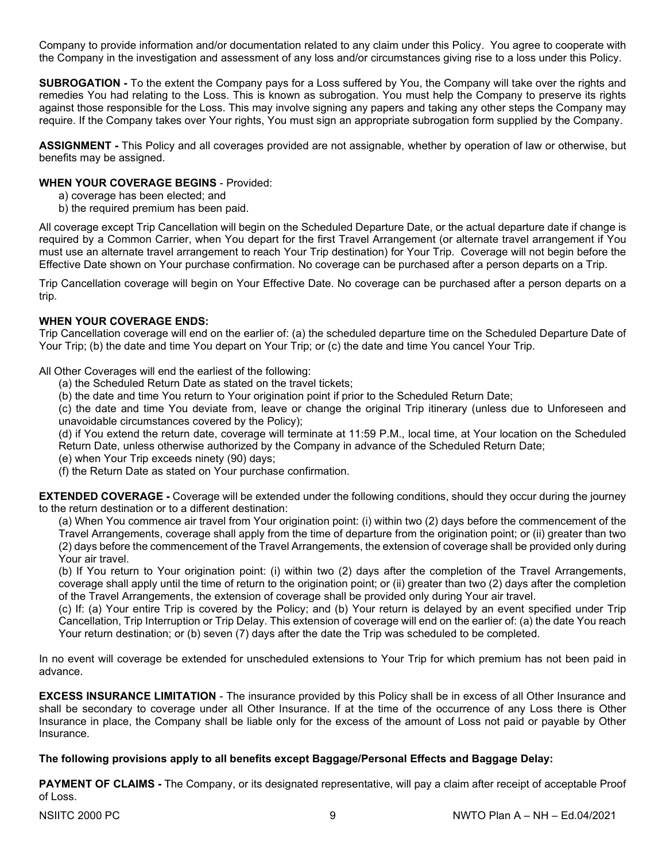Company to provide information and/or documentation related to any claim under this Policy. You agree to cooperate with the Company in the investigation and assessment of any loss and/or circumstances giving rise to a loss under this Policy.

**SUBROGATION -** To the extent the Company pays for a Loss suffered by You, the Company will take over the rights and remedies You had relating to the Loss. This is known as subrogation. You must help the Company to preserve its rights against those responsible for the Loss. This may involve signing any papers and taking any other steps the Company may require. If the Company takes over Your rights, You must sign an appropriate subrogation form supplied by the Company.

**ASSIGNMENT -** This Policy and all coverages provided are not assignable, whether by operation of law or otherwise, but benefits may be assigned.

## **WHEN YOUR COVERAGE BEGINS** - Provided:

- a) coverage has been elected; and
- b) the required premium has been paid.

All coverage except Trip Cancellation will begin on the Scheduled Departure Date, or the actual departure date if change is required by a Common Carrier, when You depart for the first Travel Arrangement (or alternate travel arrangement if You must use an alternate travel arrangement to reach Your Trip destination) for Your Trip. Coverage will not begin before the Effective Date shown on Your purchase confirmation. No coverage can be purchased after a person departs on a Trip.

Trip Cancellation coverage will begin on Your Effective Date. No coverage can be purchased after a person departs on a trip.

## **WHEN YOUR COVERAGE ENDS:**

Trip Cancellation coverage will end on the earlier of: (a) the scheduled departure time on the Scheduled Departure Date of Your Trip; (b) the date and time You depart on Your Trip; or (c) the date and time You cancel Your Trip.

All Other Coverages will end the earliest of the following:

- (a) the Scheduled Return Date as stated on the travel tickets;
- (b) the date and time You return to Your origination point if prior to the Scheduled Return Date;

(c) the date and time You deviate from, leave or change the original Trip itinerary (unless due to Unforeseen and unavoidable circumstances covered by the Policy);

(d) if You extend the return date, coverage will terminate at 11:59 P.M., local time, at Your location on the Scheduled Return Date, unless otherwise authorized by the Company in advance of the Scheduled Return Date;

(e) when Your Trip exceeds ninety (90) days;

(f) the Return Date as stated on Your purchase confirmation.

**EXTENDED COVERAGE -** Coverage will be extended under the following conditions, should they occur during the journey to the return destination or to a different destination:

(a) When You commence air travel from Your origination point: (i) within two (2) days before the commencement of the Travel Arrangements, coverage shall apply from the time of departure from the origination point; or (ii) greater than two (2) days before the commencement of the Travel Arrangements, the extension of coverage shall be provided only during Your air travel.

(b) If You return to Your origination point: (i) within two (2) days after the completion of the Travel Arrangements, coverage shall apply until the time of return to the origination point; or (ii) greater than two (2) days after the completion of the Travel Arrangements, the extension of coverage shall be provided only during Your air travel.

(c) If: (a) Your entire Trip is covered by the Policy; and (b) Your return is delayed by an event specified under Trip Cancellation, Trip Interruption or Trip Delay. This extension of coverage will end on the earlier of: (a) the date You reach Your return destination; or (b) seven (7) days after the date the Trip was scheduled to be completed.

In no event will coverage be extended for unscheduled extensions to Your Trip for which premium has not been paid in advance.

**EXCESS INSURANCE LIMITATION** - The insurance provided by this Policy shall be in excess of all Other Insurance and shall be secondary to coverage under all Other Insurance. If at the time of the occurrence of any Loss there is Other Insurance in place, the Company shall be liable only for the excess of the amount of Loss not paid or payable by Other Insurance.

#### **The following provisions apply to all benefits except Baggage/Personal Effects and Baggage Delay:**

**PAYMENT OF CLAIMS -** The Company, or its designated representative, will pay a claim after receipt of acceptable Proof of Loss.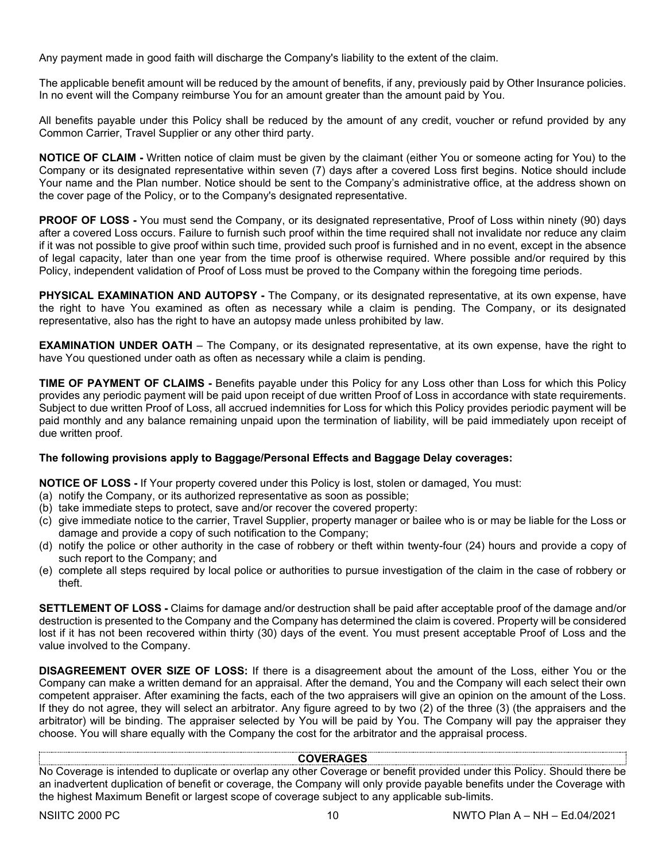Any payment made in good faith will discharge the Company's liability to the extent of the claim.

The applicable benefit amount will be reduced by the amount of benefits, if any, previously paid by Other Insurance policies. In no event will the Company reimburse You for an amount greater than the amount paid by You.

All benefits payable under this Policy shall be reduced by the amount of any credit, voucher or refund provided by any Common Carrier, Travel Supplier or any other third party.

**NOTICE OF CLAIM -** Written notice of claim must be given by the claimant (either You or someone acting for You) to the Company or its designated representative within seven (7) days after a covered Loss first begins. Notice should include Your name and the Plan number. Notice should be sent to the Company's administrative office, at the address shown on the cover page of the Policy, or to the Company's designated representative.

**PROOF OF LOSS -** You must send the Company, or its designated representative, Proof of Loss within ninety (90) days after a covered Loss occurs. Failure to furnish such proof within the time required shall not invalidate nor reduce any claim if it was not possible to give proof within such time, provided such proof is furnished and in no event, except in the absence of legal capacity, later than one year from the time proof is otherwise required. Where possible and/or required by this Policy, independent validation of Proof of Loss must be proved to the Company within the foregoing time periods.

**PHYSICAL EXAMINATION AND AUTOPSY -** The Company, or its designated representative, at its own expense, have the right to have You examined as often as necessary while a claim is pending. The Company, or its designated representative, also has the right to have an autopsy made unless prohibited by law.

**EXAMINATION UNDER OATH** – The Company, or its designated representative, at its own expense, have the right to have You questioned under oath as often as necessary while a claim is pending.

**TIME OF PAYMENT OF CLAIMS -** Benefits payable under this Policy for any Loss other than Loss for which this Policy provides any periodic payment will be paid upon receipt of due written Proof of Loss in accordance with state requirements. Subject to due written Proof of Loss, all accrued indemnities for Loss for which this Policy provides periodic payment will be paid monthly and any balance remaining unpaid upon the termination of liability, will be paid immediately upon receipt of due written proof.

## **The following provisions apply to Baggage/Personal Effects and Baggage Delay coverages:**

**NOTICE OF LOSS -** If Your property covered under this Policy is lost, stolen or damaged, You must:

- (a) notify the Company, or its authorized representative as soon as possible;
- (b) take immediate steps to protect, save and/or recover the covered property:
- (c) give immediate notice to the carrier, Travel Supplier, property manager or bailee who is or may be liable for the Loss or damage and provide a copy of such notification to the Company;
- (d) notify the police or other authority in the case of robbery or theft within twenty-four (24) hours and provide a copy of such report to the Company; and
- (e) complete all steps required by local police or authorities to pursue investigation of the claim in the case of robbery or theft.

**SETTLEMENT OF LOSS -** Claims for damage and/or destruction shall be paid after acceptable proof of the damage and/or destruction is presented to the Company and the Company has determined the claim is covered. Property will be considered lost if it has not been recovered within thirty (30) days of the event. You must present acceptable Proof of Loss and the value involved to the Company.

**DISAGREEMENT OVER SIZE OF LOSS:** If there is a disagreement about the amount of the Loss, either You or the Company can make a written demand for an appraisal. After the demand, You and the Company will each select their own competent appraiser. After examining the facts, each of the two appraisers will give an opinion on the amount of the Loss. If they do not agree, they will select an arbitrator. Any figure agreed to by two (2) of the three (3) (the appraisers and the arbitrator) will be binding. The appraiser selected by You will be paid by You. The Company will pay the appraiser they choose. You will share equally with the Company the cost for the arbitrator and the appraisal process.

## **COVERAGES**

No Coverage is intended to duplicate or overlap any other Coverage or benefit provided under this Policy. Should there be an inadvertent duplication of benefit or coverage, the Company will only provide payable benefits under the Coverage with the highest Maximum Benefit or largest scope of coverage subject to any applicable sub-limits.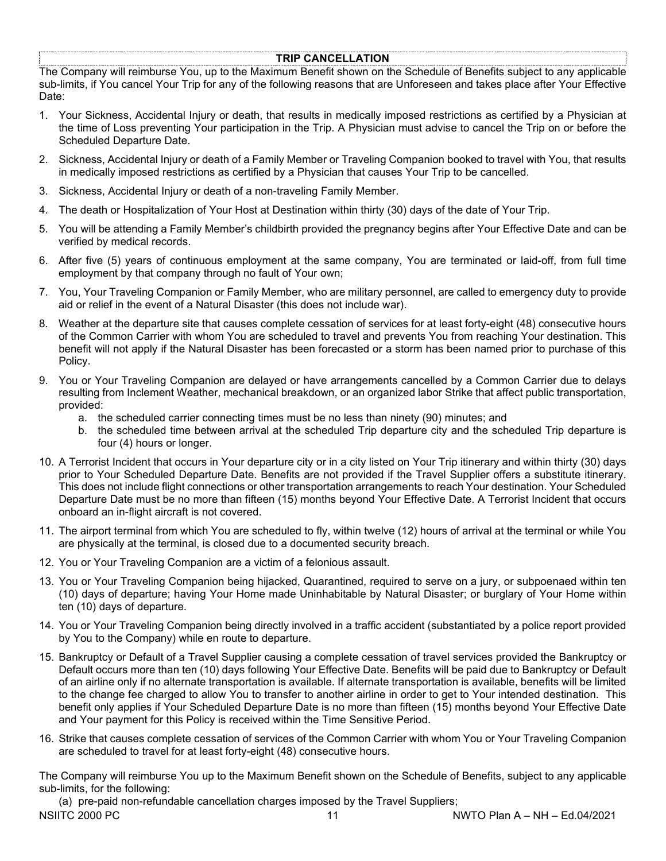## **TRIP CANCELLATION**

The Company will reimburse You, up to the Maximum Benefit shown on the Schedule of Benefits subject to any applicable sub-limits, if You cancel Your Trip for any of the following reasons that are Unforeseen and takes place after Your Effective Date:

- 1. Your Sickness, Accidental Injury or death, that results in medically imposed restrictions as certified by a Physician at the time of Loss preventing Your participation in the Trip. A Physician must advise to cancel the Trip on or before the Scheduled Departure Date.
- 2. Sickness, Accidental Injury or death of a Family Member or Traveling Companion booked to travel with You, that results in medically imposed restrictions as certified by a Physician that causes Your Trip to be cancelled.
- 3. Sickness, Accidental Injury or death of a non-traveling Family Member.
- 4. The death or Hospitalization of Your Host at Destination within thirty (30) days of the date of Your Trip.
- 5. You will be attending a Family Member's childbirth provided the pregnancy begins after Your Effective Date and can be verified by medical records.
- 6. After five (5) years of continuous employment at the same company, You are terminated or laid-off, from full time employment by that company through no fault of Your own;
- 7. You, Your Traveling Companion or Family Member, who are military personnel, are called to emergency duty to provide aid or relief in the event of a Natural Disaster (this does not include war).
- 8. Weather at the departure site that causes complete cessation of services for at least forty-eight (48) consecutive hours of the Common Carrier with whom You are scheduled to travel and prevents You from reaching Your destination. This benefit will not apply if the Natural Disaster has been forecasted or a storm has been named prior to purchase of this Policy.
- 9. You or Your Traveling Companion are delayed or have arrangements cancelled by a Common Carrier due to delays resulting from Inclement Weather, mechanical breakdown, or an organized labor Strike that affect public transportation, provided:
	- a. the scheduled carrier connecting times must be no less than ninety (90) minutes; and
	- b. the scheduled time between arrival at the scheduled Trip departure city and the scheduled Trip departure is four (4) hours or longer.
- 10. A Terrorist Incident that occurs in Your departure city or in a city listed on Your Trip itinerary and within thirty (30) days prior to Your Scheduled Departure Date. Benefits are not provided if the Travel Supplier offers a substitute itinerary. This does not include flight connections or other transportation arrangements to reach Your destination. Your Scheduled Departure Date must be no more than fifteen (15) months beyond Your Effective Date. A Terrorist Incident that occurs onboard an in-flight aircraft is not covered.
- 11. The airport terminal from which You are scheduled to fly, within twelve (12) hours of arrival at the terminal or while You are physically at the terminal, is closed due to a documented security breach.
- 12. You or Your Traveling Companion are a victim of a felonious assault.
- 13. You or Your Traveling Companion being hijacked, Quarantined, required to serve on a jury, or subpoenaed within ten (10) days of departure; having Your Home made Uninhabitable by Natural Disaster; or burglary of Your Home within ten (10) days of departure.
- 14. You or Your Traveling Companion being directly involved in a traffic accident (substantiated by a police report provided by You to the Company) while en route to departure.
- 15. Bankruptcy or Default of a Travel Supplier causing a complete cessation of travel services provided the Bankruptcy or Default occurs more than ten (10) days following Your Effective Date. Benefits will be paid due to Bankruptcy or Default of an airline only if no alternate transportation is available. If alternate transportation is available, benefits will be limited to the change fee charged to allow You to transfer to another airline in order to get to Your intended destination. This benefit only applies if Your Scheduled Departure Date is no more than fifteen (15) months beyond Your Effective Date and Your payment for this Policy is received within the Time Sensitive Period.
- 16. Strike that causes complete cessation of services of the Common Carrier with whom You or Your Traveling Companion are scheduled to travel for at least forty-eight (48) consecutive hours.

The Company will reimburse You up to the Maximum Benefit shown on the Schedule of Benefits, subject to any applicable sub-limits, for the following:

NSIITC 2000 PC 11 NWTO Plan A – NH – Ed.04/2021 (a) pre-paid non-refundable cancellation charges imposed by the Travel Suppliers;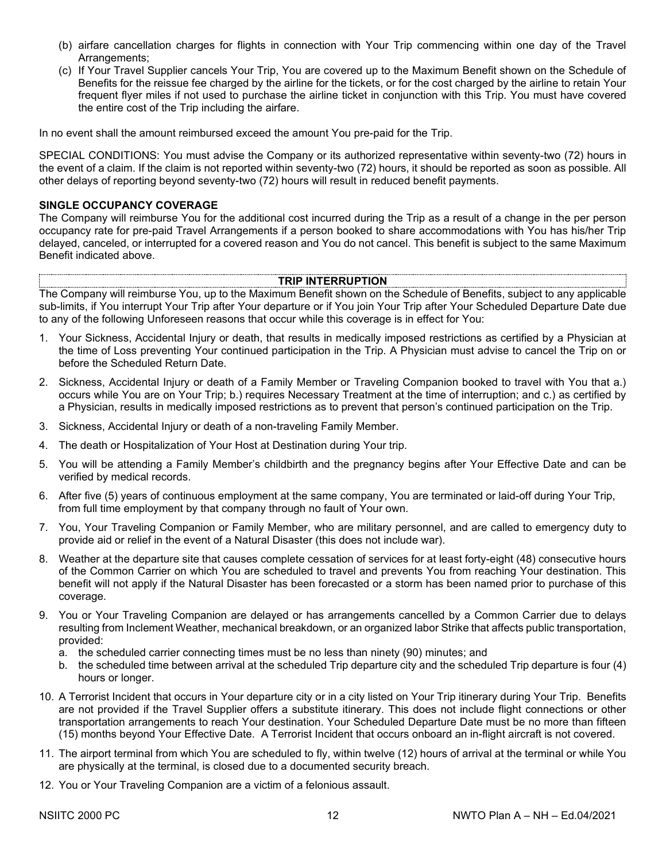- (b) airfare cancellation charges for flights in connection with Your Trip commencing within one day of the Travel Arrangements;
- (c) If Your Travel Supplier cancels Your Trip, You are covered up to the Maximum Benefit shown on the Schedule of Benefits for the reissue fee charged by the airline for the tickets, or for the cost charged by the airline to retain Your frequent flyer miles if not used to purchase the airline ticket in conjunction with this Trip. You must have covered the entire cost of the Trip including the airfare.

In no event shall the amount reimbursed exceed the amount You pre-paid for the Trip.

SPECIAL CONDITIONS: You must advise the Company or its authorized representative within seventy-two (72) hours in the event of a claim. If the claim is not reported within seventy-two (72) hours, it should be reported as soon as possible. All other delays of reporting beyond seventy-two (72) hours will result in reduced benefit payments.

## **SINGLE OCCUPANCY COVERAGE**

The Company will reimburse You for the additional cost incurred during the Trip as a result of a change in the per person occupancy rate for pre-paid Travel Arrangements if a person booked to share accommodations with You has his/her Trip delayed, canceled, or interrupted for a covered reason and You do not cancel. This benefit is subject to the same Maximum Benefit indicated above.

#### **TRIP INTERRUPTION**

The Company will reimburse You, up to the Maximum Benefit shown on the Schedule of Benefits, subject to any applicable sub-limits, if You interrupt Your Trip after Your departure or if You join Your Trip after Your Scheduled Departure Date due to any of the following Unforeseen reasons that occur while this coverage is in effect for You:

- 1. Your Sickness, Accidental Injury or death, that results in medically imposed restrictions as certified by a Physician at the time of Loss preventing Your continued participation in the Trip. A Physician must advise to cancel the Trip on or before the Scheduled Return Date.
- 2. Sickness, Accidental Injury or death of a Family Member or Traveling Companion booked to travel with You that a.) occurs while You are on Your Trip; b.) requires Necessary Treatment at the time of interruption; and c.) as certified by a Physician, results in medically imposed restrictions as to prevent that person's continued participation on the Trip.
- 3. Sickness, Accidental Injury or death of a non-traveling Family Member.
- 4. The death or Hospitalization of Your Host at Destination during Your trip.
- 5. You will be attending a Family Member's childbirth and the pregnancy begins after Your Effective Date and can be verified by medical records.
- 6. After five (5) years of continuous employment at the same company, You are terminated or laid-off during Your Trip, from full time employment by that company through no fault of Your own.
- 7. You, Your Traveling Companion or Family Member, who are military personnel, and are called to emergency duty to provide aid or relief in the event of a Natural Disaster (this does not include war).
- 8. Weather at the departure site that causes complete cessation of services for at least forty-eight (48) consecutive hours of the Common Carrier on which You are scheduled to travel and prevents You from reaching Your destination. This benefit will not apply if the Natural Disaster has been forecasted or a storm has been named prior to purchase of this coverage.
- 9. You or Your Traveling Companion are delayed or has arrangements cancelled by a Common Carrier due to delays resulting from Inclement Weather, mechanical breakdown, or an organized labor Strike that affects public transportation, provided:
	- a. the scheduled carrier connecting times must be no less than ninety (90) minutes; and
	- b. the scheduled time between arrival at the scheduled Trip departure city and the scheduled Trip departure is four (4) hours or longer.
- 10. A Terrorist Incident that occurs in Your departure city or in a city listed on Your Trip itinerary during Your Trip. Benefits are not provided if the Travel Supplier offers a substitute itinerary. This does not include flight connections or other transportation arrangements to reach Your destination. Your Scheduled Departure Date must be no more than fifteen (15) months beyond Your Effective Date. A Terrorist Incident that occurs onboard an in-flight aircraft is not covered.
- 11. The airport terminal from which You are scheduled to fly, within twelve (12) hours of arrival at the terminal or while You are physically at the terminal, is closed due to a documented security breach.
- 12. You or Your Traveling Companion are a victim of a felonious assault.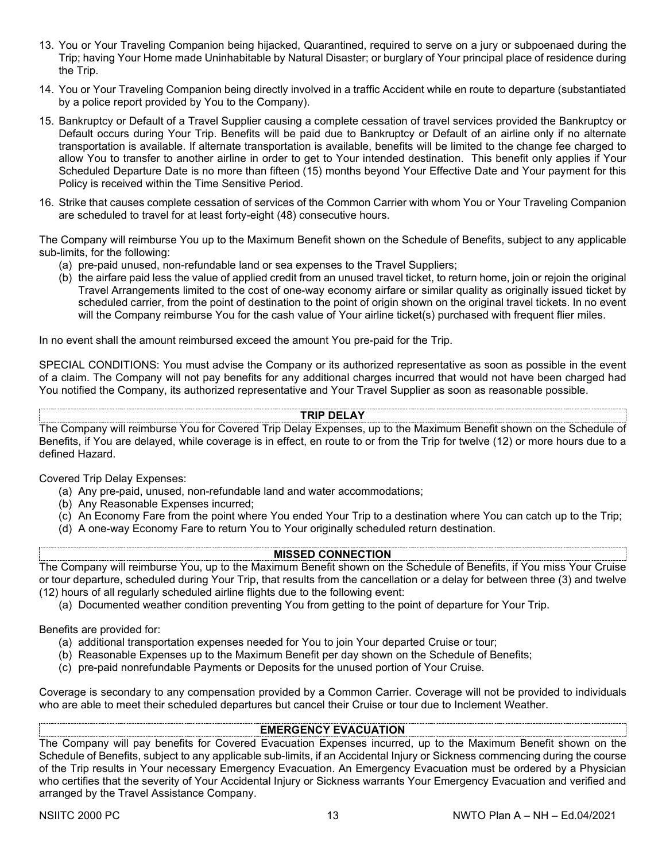- 13. You or Your Traveling Companion being hijacked, Quarantined, required to serve on a jury or subpoenaed during the Trip; having Your Home made Uninhabitable by Natural Disaster; or burglary of Your principal place of residence during the Trip.
- 14. You or Your Traveling Companion being directly involved in a traffic Accident while en route to departure (substantiated by a police report provided by You to the Company).
- 15. Bankruptcy or Default of a Travel Supplier causing a complete cessation of travel services provided the Bankruptcy or Default occurs during Your Trip. Benefits will be paid due to Bankruptcy or Default of an airline only if no alternate transportation is available. If alternate transportation is available, benefits will be limited to the change fee charged to allow You to transfer to another airline in order to get to Your intended destination. This benefit only applies if Your Scheduled Departure Date is no more than fifteen (15) months beyond Your Effective Date and Your payment for this Policy is received within the Time Sensitive Period.
- 16. Strike that causes complete cessation of services of the Common Carrier with whom You or Your Traveling Companion are scheduled to travel for at least forty-eight (48) consecutive hours.

The Company will reimburse You up to the Maximum Benefit shown on the Schedule of Benefits, subject to any applicable sub-limits, for the following:

- (a) pre-paid unused, non-refundable land or sea expenses to the Travel Suppliers;
- (b) the airfare paid less the value of applied credit from an unused travel ticket, to return home, join or rejoin the original Travel Arrangements limited to the cost of one-way economy airfare or similar quality as originally issued ticket by scheduled carrier, from the point of destination to the point of origin shown on the original travel tickets. In no event will the Company reimburse You for the cash value of Your airline ticket(s) purchased with frequent flier miles.

In no event shall the amount reimbursed exceed the amount You pre-paid for the Trip.

SPECIAL CONDITIONS: You must advise the Company or its authorized representative as soon as possible in the event of a claim. The Company will not pay benefits for any additional charges incurred that would not have been charged had You notified the Company, its authorized representative and Your Travel Supplier as soon as reasonable possible.

## **TRIP DELAY**

The Company will reimburse You for Covered Trip Delay Expenses, up to the Maximum Benefit shown on the Schedule of Benefits, if You are delayed, while coverage is in effect, en route to or from the Trip for twelve (12) or more hours due to a defined Hazard.

Covered Trip Delay Expenses:

- (a) Any pre-paid, unused, non-refundable land and water accommodations;
- (b) Any Reasonable Expenses incurred;
- (c) An Economy Fare from the point where You ended Your Trip to a destination where You can catch up to the Trip;
- (d) A one-way Economy Fare to return You to Your originally scheduled return destination.

## **MISSED CONNECTION**

The Company will reimburse You, up to the Maximum Benefit shown on the Schedule of Benefits, if You miss Your Cruise or tour departure, scheduled during Your Trip, that results from the cancellation or a delay for between three (3) and twelve (12) hours of all regularly scheduled airline flights due to the following event:

(a) Documented weather condition preventing You from getting to the point of departure for Your Trip.

Benefits are provided for:

- (a) additional transportation expenses needed for You to join Your departed Cruise or tour;
- (b) Reasonable Expenses up to the Maximum Benefit per day shown on the Schedule of Benefits;
- (c) pre-paid nonrefundable Payments or Deposits for the unused portion of Your Cruise.

Coverage is secondary to any compensation provided by a Common Carrier. Coverage will not be provided to individuals who are able to meet their scheduled departures but cancel their Cruise or tour due to Inclement Weather.

## **EMERGENCY EVACUATION**

The Company will pay benefits for Covered Evacuation Expenses incurred, up to the Maximum Benefit shown on the Schedule of Benefits, subject to any applicable sub-limits, if an Accidental Injury or Sickness commencing during the course of the Trip results in Your necessary Emergency Evacuation. An Emergency Evacuation must be ordered by a Physician who certifies that the severity of Your Accidental Injury or Sickness warrants Your Emergency Evacuation and verified and arranged by the Travel Assistance Company.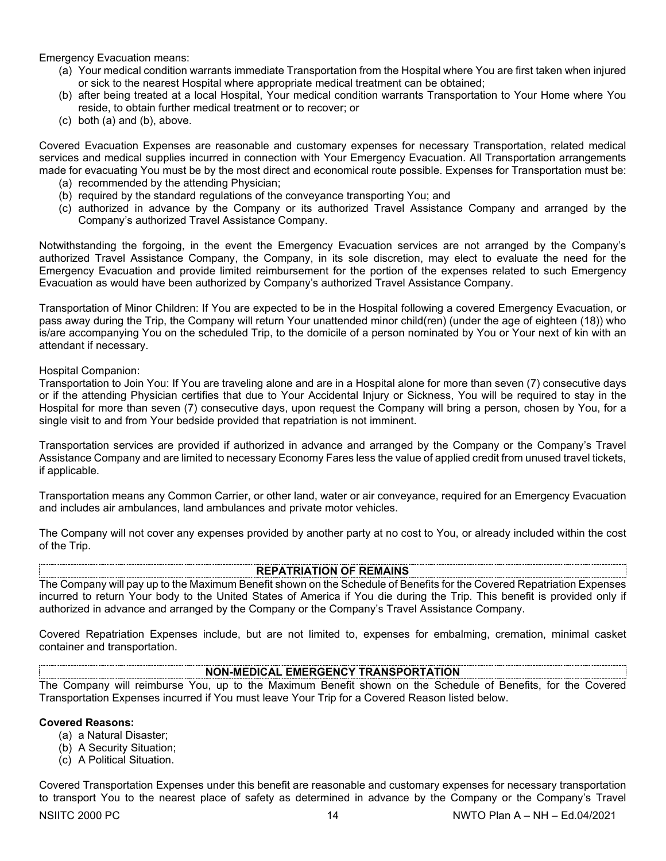Emergency Evacuation means:

- (a) Your medical condition warrants immediate Transportation from the Hospital where You are first taken when injured or sick to the nearest Hospital where appropriate medical treatment can be obtained;
- (b) after being treated at a local Hospital, Your medical condition warrants Transportation to Your Home where You reside, to obtain further medical treatment or to recover; or
- (c) both (a) and (b), above.

Covered Evacuation Expenses are reasonable and customary expenses for necessary Transportation, related medical services and medical supplies incurred in connection with Your Emergency Evacuation. All Transportation arrangements made for evacuating You must be by the most direct and economical route possible. Expenses for Transportation must be:

- (a) recommended by the attending Physician;
- (b) required by the standard regulations of the conveyance transporting You; and
- (c) authorized in advance by the Company or its authorized Travel Assistance Company and arranged by the Company's authorized Travel Assistance Company.

Notwithstanding the forgoing, in the event the Emergency Evacuation services are not arranged by the Company's authorized Travel Assistance Company, the Company, in its sole discretion, may elect to evaluate the need for the Emergency Evacuation and provide limited reimbursement for the portion of the expenses related to such Emergency Evacuation as would have been authorized by Company's authorized Travel Assistance Company.

Transportation of Minor Children: If You are expected to be in the Hospital following a covered Emergency Evacuation, or pass away during the Trip, the Company will return Your unattended minor child(ren) (under the age of eighteen (18)) who is/are accompanying You on the scheduled Trip, to the domicile of a person nominated by You or Your next of kin with an attendant if necessary.

Hospital Companion:

Transportation to Join You: If You are traveling alone and are in a Hospital alone for more than seven (7) consecutive days or if the attending Physician certifies that due to Your Accidental Injury or Sickness, You will be required to stay in the Hospital for more than seven (7) consecutive days, upon request the Company will bring a person, chosen by You, for a single visit to and from Your bedside provided that repatriation is not imminent.

Transportation services are provided if authorized in advance and arranged by the Company or the Company's Travel Assistance Company and are limited to necessary Economy Fares less the value of applied credit from unused travel tickets, if applicable.

Transportation means any Common Carrier, or other land, water or air conveyance, required for an Emergency Evacuation and includes air ambulances, land ambulances and private motor vehicles.

The Company will not cover any expenses provided by another party at no cost to You, or already included within the cost of the Trip.

#### **REPATRIATION OF REMAINS**

The Company will pay up to the Maximum Benefit shown on the Schedule of Benefits for the Covered Repatriation Expenses incurred to return Your body to the United States of America if You die during the Trip. This benefit is provided only if authorized in advance and arranged by the Company or the Company's Travel Assistance Company.

Covered Repatriation Expenses include, but are not limited to, expenses for embalming, cremation, minimal casket container and transportation.

## **NON-MEDICAL EMERGENCY TRANSPORTATION**

The Company will reimburse You, up to the Maximum Benefit shown on the Schedule of Benefits, for the Covered Transportation Expenses incurred if You must leave Your Trip for a Covered Reason listed below.

### **Covered Reasons:**

- (a) a Natural Disaster;
- (b) A Security Situation;
- (c) A Political Situation.

Covered Transportation Expenses under this benefit are reasonable and customary expenses for necessary transportation to transport You to the nearest place of safety as determined in advance by the Company or the Company's Travel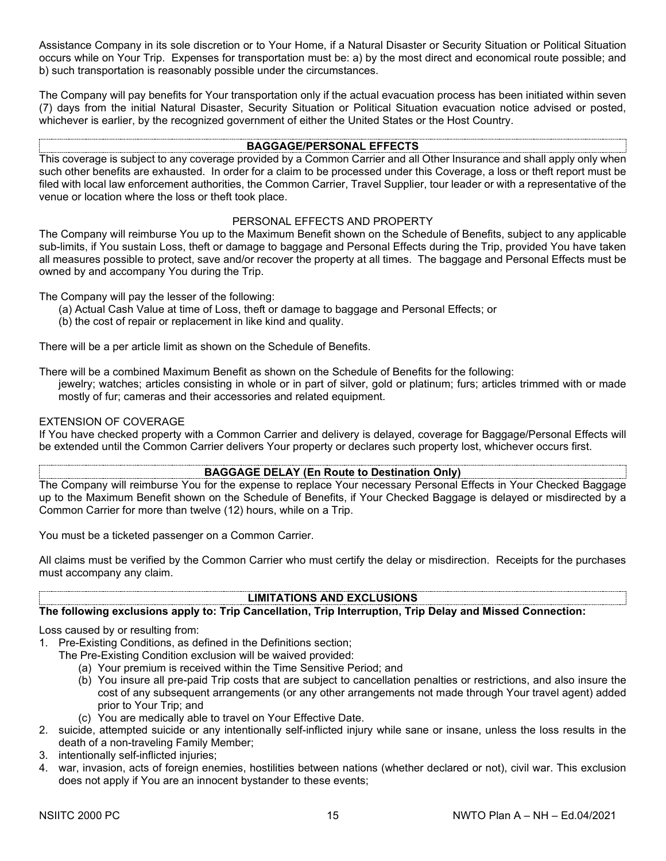Assistance Company in its sole discretion or to Your Home, if a Natural Disaster or Security Situation or Political Situation occurs while on Your Trip. Expenses for transportation must be: a) by the most direct and economical route possible; and b) such transportation is reasonably possible under the circumstances.

The Company will pay benefits for Your transportation only if the actual evacuation process has been initiated within seven (7) days from the initial Natural Disaster, Security Situation or Political Situation evacuation notice advised or posted, whichever is earlier, by the recognized government of either the United States or the Host Country.

## **BAGGAGE/PERSONAL EFFECTS**

This coverage is subject to any coverage provided by a Common Carrier and all Other Insurance and shall apply only when such other benefits are exhausted. In order for a claim to be processed under this Coverage, a loss or theft report must be filed with local law enforcement authorities, the Common Carrier, Travel Supplier, tour leader or with a representative of the venue or location where the loss or theft took place.

## PERSONAL EFFECTS AND PROPERTY

The Company will reimburse You up to the Maximum Benefit shown on the Schedule of Benefits, subject to any applicable sub-limits, if You sustain Loss, theft or damage to baggage and Personal Effects during the Trip, provided You have taken all measures possible to protect, save and/or recover the property at all times. The baggage and Personal Effects must be owned by and accompany You during the Trip.

The Company will pay the lesser of the following:

- (a) Actual Cash Value at time of Loss, theft or damage to baggage and Personal Effects; or
- (b) the cost of repair or replacement in like kind and quality.

There will be a per article limit as shown on the Schedule of Benefits.

There will be a combined Maximum Benefit as shown on the Schedule of Benefits for the following:

jewelry; watches; articles consisting in whole or in part of silver, gold or platinum; furs; articles trimmed with or made mostly of fur; cameras and their accessories and related equipment.

## EXTENSION OF COVERAGE

If You have checked property with a Common Carrier and delivery is delayed, coverage for Baggage/Personal Effects will be extended until the Common Carrier delivers Your property or declares such property lost, whichever occurs first.

## **BAGGAGE DELAY (En Route to Destination Only)**

The Company will reimburse You for the expense to replace Your necessary Personal Effects in Your Checked Baggage up to the Maximum Benefit shown on the Schedule of Benefits, if Your Checked Baggage is delayed or misdirected by a Common Carrier for more than twelve (12) hours, while on a Trip.

You must be a ticketed passenger on a Common Carrier.

All claims must be verified by the Common Carrier who must certify the delay or misdirection. Receipts for the purchases must accompany any claim.

## **LIMITATIONS AND EXCLUSIONS**

#### **The following exclusions apply to: Trip Cancellation, Trip Interruption, Trip Delay and Missed Connection:**

Loss caused by or resulting from:

1. Pre-Existing Conditions, as defined in the Definitions section;

- The Pre-Existing Condition exclusion will be waived provided:
	- (a) Your premium is received within the Time Sensitive Period; and
	- (b) You insure all pre-paid Trip costs that are subject to cancellation penalties or restrictions, and also insure the cost of any subsequent arrangements (or any other arrangements not made through Your travel agent) added prior to Your Trip; and
	- (c) You are medically able to travel on Your Effective Date.
- 2. suicide, attempted suicide or any intentionally self-inflicted injury while sane or insane, unless the loss results in the death of a non-traveling Family Member;
- 3. intentionally self-inflicted injuries;
- 4. war, invasion, acts of foreign enemies, hostilities between nations (whether declared or not), civil war. This exclusion does not apply if You are an innocent bystander to these events;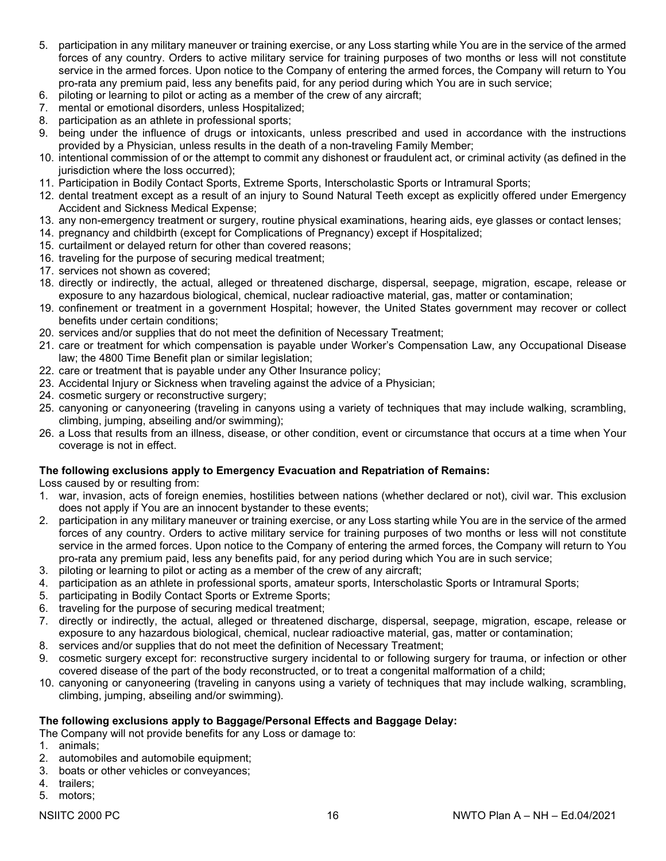- 5. participation in any military maneuver or training exercise, or any Loss starting while You are in the service of the armed forces of any country. Orders to active military service for training purposes of two months or less will not constitute service in the armed forces. Upon notice to the Company of entering the armed forces, the Company will return to You pro-rata any premium paid, less any benefits paid, for any period during which You are in such service;
- 6. piloting or learning to pilot or acting as a member of the crew of any aircraft;
- 7. mental or emotional disorders, unless Hospitalized;
- 8. participation as an athlete in professional sports;
- 9. being under the influence of drugs or intoxicants, unless prescribed and used in accordance with the instructions provided by a Physician, unless results in the death of a non-traveling Family Member;
- 10. intentional commission of or the attempt to commit any dishonest or fraudulent act, or criminal activity (as defined in the jurisdiction where the loss occurred);
- 11. Participation in Bodily Contact Sports, Extreme Sports, Interscholastic Sports or Intramural Sports;
- 12. dental treatment except as a result of an injury to Sound Natural Teeth except as explicitly offered under Emergency Accident and Sickness Medical Expense;
- 13. any non-emergency treatment or surgery, routine physical examinations, hearing aids, eye glasses or contact lenses;
- 14. pregnancy and childbirth (except for Complications of Pregnancy) except if Hospitalized;
- 15. curtailment or delayed return for other than covered reasons;
- 16. traveling for the purpose of securing medical treatment;
- 17. services not shown as covered;
- 18. directly or indirectly, the actual, alleged or threatened discharge, dispersal, seepage, migration, escape, release or exposure to any hazardous biological, chemical, nuclear radioactive material, gas, matter or contamination;
- 19. confinement or treatment in a government Hospital; however, the United States government may recover or collect benefits under certain conditions;
- 20. services and/or supplies that do not meet the definition of Necessary Treatment;
- 21. care or treatment for which compensation is payable under Worker's Compensation Law, any Occupational Disease law; the 4800 Time Benefit plan or similar legislation;
- 22. care or treatment that is payable under any Other Insurance policy;
- 23. Accidental Injury or Sickness when traveling against the advice of a Physician;
- 24. cosmetic surgery or reconstructive surgery;
- 25. canyoning or canyoneering (traveling in canyons using a variety of techniques that may include walking, scrambling, climbing, jumping, abseiling and/or swimming);
- 26. a Loss that results from an illness, disease, or other condition, event or circumstance that occurs at a time when Your coverage is not in effect.

#### **The following exclusions apply to Emergency Evacuation and Repatriation of Remains:**

Loss caused by or resulting from:

- 1. war, invasion, acts of foreign enemies, hostilities between nations (whether declared or not), civil war. This exclusion does not apply if You are an innocent bystander to these events;
- 2. participation in any military maneuver or training exercise, or any Loss starting while You are in the service of the armed forces of any country. Orders to active military service for training purposes of two months or less will not constitute service in the armed forces. Upon notice to the Company of entering the armed forces, the Company will return to You pro-rata any premium paid, less any benefits paid, for any period during which You are in such service;
- 3. piloting or learning to pilot or acting as a member of the crew of any aircraft;
- 4. participation as an athlete in professional sports, amateur sports, Interscholastic Sports or Intramural Sports;
- 5. participating in Bodily Contact Sports or Extreme Sports;
- 6. traveling for the purpose of securing medical treatment;
- 7. directly or indirectly, the actual, alleged or threatened discharge, dispersal, seepage, migration, escape, release or exposure to any hazardous biological, chemical, nuclear radioactive material, gas, matter or contamination;
- 8. services and/or supplies that do not meet the definition of Necessary Treatment;
- 9. cosmetic surgery except for: reconstructive surgery incidental to or following surgery for trauma, or infection or other covered disease of the part of the body reconstructed, or to treat a congenital malformation of a child;
- 10. canyoning or canyoneering (traveling in canyons using a variety of techniques that may include walking, scrambling, climbing, jumping, abseiling and/or swimming).

## **The following exclusions apply to Baggage/Personal Effects and Baggage Delay:**

- The Company will not provide benefits for any Loss or damage to:
- 1. animals;
- 2. automobiles and automobile equipment;
- 3. boats or other vehicles or conveyances;
- 4. trailers;
- 5. motors;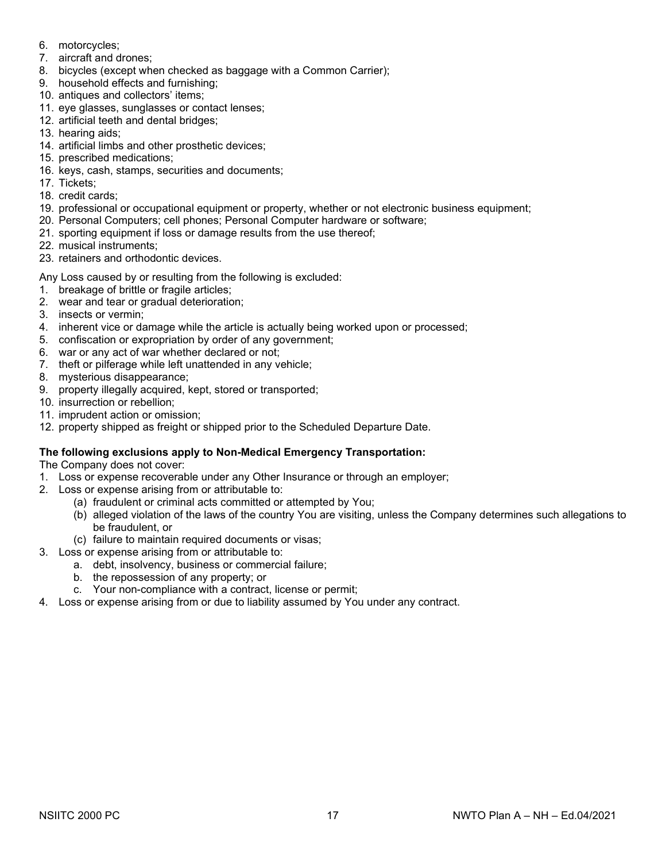- 6. motorcycles;
- 7. aircraft and drones;
- 8. bicycles (except when checked as baggage with a Common Carrier);
- 9. household effects and furnishing;
- 10. antiques and collectors' items;
- 11. eye glasses, sunglasses or contact lenses;
- 12. artificial teeth and dental bridges;
- 13. hearing aids;
- 14. artificial limbs and other prosthetic devices;
- 15. prescribed medications;
- 16. keys, cash, stamps, securities and documents;
- 17. Tickets;
- 18. credit cards;
- 19. professional or occupational equipment or property, whether or not electronic business equipment;
- 20. Personal Computers; cell phones; Personal Computer hardware or software;
- 21. sporting equipment if loss or damage results from the use thereof;
- 22. musical instruments;
- 23. retainers and orthodontic devices.

Any Loss caused by or resulting from the following is excluded:

- 1. breakage of brittle or fragile articles;
- 2. wear and tear or gradual deterioration;
- 3. insects or vermin;
- 4. inherent vice or damage while the article is actually being worked upon or processed;
- 5. confiscation or expropriation by order of any government;
- 6. war or any act of war whether declared or not;
- 7. theft or pilferage while left unattended in any vehicle;
- 8. mysterious disappearance;
- 9. property illegally acquired, kept, stored or transported;
- 10. insurrection or rebellion;
- 11. imprudent action or omission;
- 12. property shipped as freight or shipped prior to the Scheduled Departure Date.

## **The following exclusions apply to Non-Medical Emergency Transportation:**

The Company does not cover:

- 1. Loss or expense recoverable under any Other Insurance or through an employer;
- 2. Loss or expense arising from or attributable to:
	- (a) fraudulent or criminal acts committed or attempted by You;
	- (b) alleged violation of the laws of the country You are visiting, unless the Company determines such allegations to be fraudulent, or
	- (c) failure to maintain required documents or visas;
- 3. Loss or expense arising from or attributable to:
	- a. debt, insolvency, business or commercial failure;
	- b. the repossession of any property; or
	- c. Your non-compliance with a contract, license or permit;
- 4. Loss or expense arising from or due to liability assumed by You under any contract.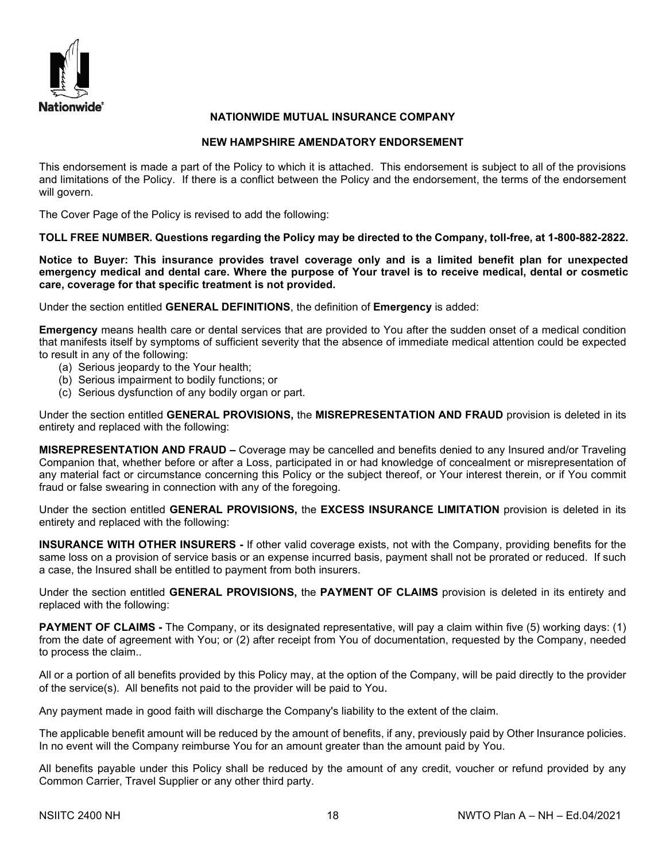

## **NATIONWIDE MUTUAL INSURANCE COMPANY**

## **NEW HAMPSHIRE AMENDATORY ENDORSEMENT**

This endorsement is made a part of the Policy to which it is attached. This endorsement is subject to all of the provisions and limitations of the Policy. If there is a conflict between the Policy and the endorsement, the terms of the endorsement will govern.

The Cover Page of the Policy is revised to add the following:

**TOLL FREE NUMBER. Questions regarding the Policy may be directed to the Company, toll-free, at 1-800-882-2822.** 

**Notice to Buyer: This insurance provides travel coverage only and is a limited benefit plan for unexpected emergency medical and dental care. Where the purpose of Your travel is to receive medical, dental or cosmetic care, coverage for that specific treatment is not provided.** 

Under the section entitled **GENERAL DEFINITIONS**, the definition of **Emergency** is added:

**Emergency** means health care or dental services that are provided to You after the sudden onset of a medical condition that manifests itself by symptoms of sufficient severity that the absence of immediate medical attention could be expected to result in any of the following:

- (a) Serious jeopardy to the Your health;
- (b) Serious impairment to bodily functions; or
- (c) Serious dysfunction of any bodily organ or part.

Under the section entitled **GENERAL PROVISIONS,** the **MISREPRESENTATION AND FRAUD** provision is deleted in its entirety and replaced with the following:

**MISREPRESENTATION AND FRAUD –** Coverage may be cancelled and benefits denied to any Insured and/or Traveling Companion that, whether before or after a Loss, participated in or had knowledge of concealment or misrepresentation of any material fact or circumstance concerning this Policy or the subject thereof, or Your interest therein, or if You commit fraud or false swearing in connection with any of the foregoing.

Under the section entitled **GENERAL PROVISIONS,** the **EXCESS INSURANCE LIMITATION** provision is deleted in its entirety and replaced with the following:

**INSURANCE WITH OTHER INSURERS -** If other valid coverage exists, not with the Company, providing benefits for the same loss on a provision of service basis or an expense incurred basis, payment shall not be prorated or reduced. If such a case, the Insured shall be entitled to payment from both insurers.

Under the section entitled **GENERAL PROVISIONS,** the **PAYMENT OF CLAIMS** provision is deleted in its entirety and replaced with the following:

**PAYMENT OF CLAIMS** - The Company, or its designated representative, will pay a claim within five (5) working days: (1) from the date of agreement with You; or (2) after receipt from You of documentation, requested by the Company, needed to process the claim..

All or a portion of all benefits provided by this Policy may, at the option of the Company, will be paid directly to the provider of the service(s). All benefits not paid to the provider will be paid to You.

Any payment made in good faith will discharge the Company's liability to the extent of the claim.

The applicable benefit amount will be reduced by the amount of benefits, if any, previously paid by Other Insurance policies. In no event will the Company reimburse You for an amount greater than the amount paid by You.

All benefits payable under this Policy shall be reduced by the amount of any credit, voucher or refund provided by any Common Carrier, Travel Supplier or any other third party.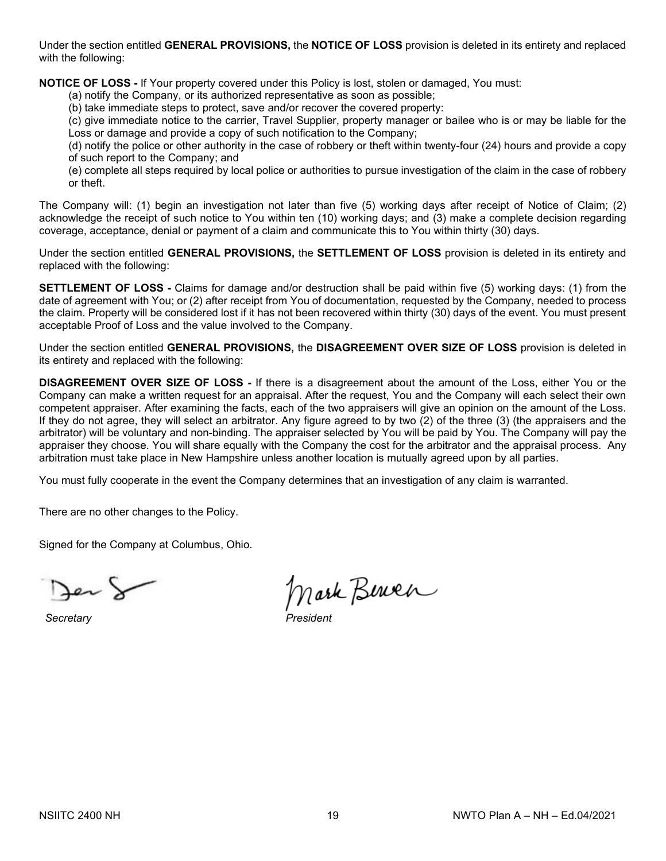Under the section entitled **GENERAL PROVISIONS,** the **NOTICE OF LOSS** provision is deleted in its entirety and replaced with the following:

**NOTICE OF LOSS -** If Your property covered under this Policy is lost, stolen or damaged, You must:

(a) notify the Company, or its authorized representative as soon as possible;

(b) take immediate steps to protect, save and/or recover the covered property:

(c) give immediate notice to the carrier, Travel Supplier, property manager or bailee who is or may be liable for the Loss or damage and provide a copy of such notification to the Company;

(d) notify the police or other authority in the case of robbery or theft within twenty-four (24) hours and provide a copy of such report to the Company; and

(e) complete all steps required by local police or authorities to pursue investigation of the claim in the case of robbery or theft.

The Company will: (1) begin an investigation not later than five (5) working days after receipt of Notice of Claim; (2) acknowledge the receipt of such notice to You within ten (10) working days; and (3) make a complete decision regarding coverage, acceptance, denial or payment of a claim and communicate this to You within thirty (30) days.

Under the section entitled **GENERAL PROVISIONS,** the **SETTLEMENT OF LOSS** provision is deleted in its entirety and replaced with the following:

**SETTLEMENT OF LOSS -** Claims for damage and/or destruction shall be paid within five (5) working days: (1) from the date of agreement with You; or (2) after receipt from You of documentation, requested by the Company, needed to process the claim. Property will be considered lost if it has not been recovered within thirty (30) days of the event. You must present acceptable Proof of Loss and the value involved to the Company.

Under the section entitled **GENERAL PROVISIONS,** the **DISAGREEMENT OVER SIZE OF LOSS** provision is deleted in its entirety and replaced with the following:

**DISAGREEMENT OVER SIZE OF LOSS -** If there is a disagreement about the amount of the Loss, either You or the Company can make a written request for an appraisal. After the request, You and the Company will each select their own competent appraiser. After examining the facts, each of the two appraisers will give an opinion on the amount of the Loss. If they do not agree, they will select an arbitrator. Any figure agreed to by two (2) of the three (3) (the appraisers and the arbitrator) will be voluntary and non-binding. The appraiser selected by You will be paid by You. The Company will pay the appraiser they choose. You will share equally with the Company the cost for the arbitrator and the appraisal process. Any arbitration must take place in New Hampshire unless another location is mutually agreed upon by all parties.

You must fully cooperate in the event the Company determines that an investigation of any claim is warranted.

There are no other changes to the Policy.

Signed for the Company at Columbus, Ohio.

 $S**ecret**arv$ 

Mark Berner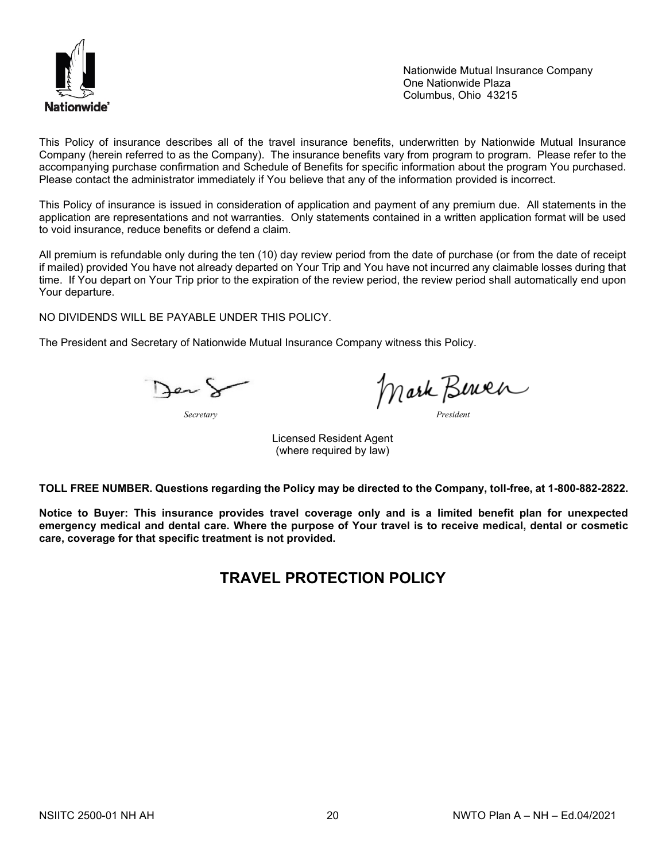

Nationwide Mutual Insurance Company One Nationwide Plaza Columbus, Ohio 43215

This Policy of insurance describes all of the travel insurance benefits, underwritten by Nationwide Mutual Insurance Company (herein referred to as the Company). The insurance benefits vary from program to program. Please refer to the accompanying purchase confirmation and Schedule of Benefits for specific information about the program You purchased. Please contact the administrator immediately if You believe that any of the information provided is incorrect.

This Policy of insurance is issued in consideration of application and payment of any premium due. All statements in the application are representations and not warranties. Only statements contained in a written application format will be used to void insurance, reduce benefits or defend a claim.

All premium is refundable only during the ten (10) day review period from the date of purchase (or from the date of receipt if mailed) provided You have not already departed on Your Trip and You have not incurred any claimable losses during that time. If You depart on Your Trip prior to the expiration of the review period, the review period shall automatically end upon Your departure.

NO DIVIDENDS WILL BE PAYABLE UNDER THIS POLICY.

The President and Secretary of Nationwide Mutual Insurance Company witness this Policy.

Jer &

*Secretary President*

Licensed Resident Agent (where required by law)

**TOLL FREE NUMBER. Questions regarding the Policy may be directed to the Company, toll-free, at 1-800-882-2822.**

**Notice to Buyer: This insurance provides travel coverage only and is a limited benefit plan for unexpected emergency medical and dental care. Where the purpose of Your travel is to receive medical, dental or cosmetic care, coverage for that specific treatment is not provided.** 

## **TRAVEL PROTECTION POLICY**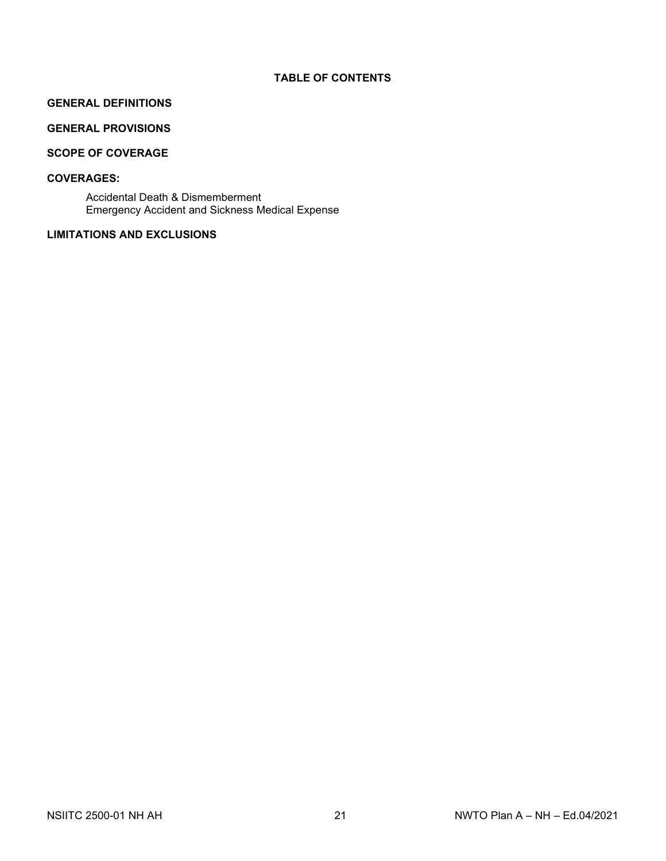## **TABLE OF CONTENTS**

## **GENERAL DEFINITIONS**

## **GENERAL PROVISIONS**

## **SCOPE OF COVERAGE**

## **COVERAGES:**

Accidental Death & Dismemberment Emergency Accident and Sickness Medical Expense

## **LIMITATIONS AND EXCLUSIONS**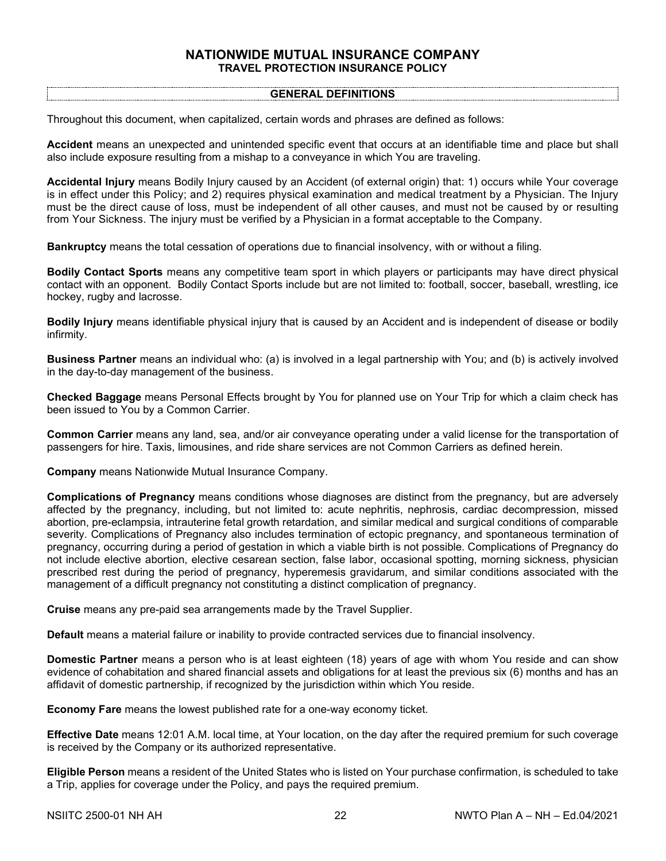## **NATIONWIDE MUTUAL INSURANCE COMPANY TRAVEL PROTECTION INSURANCE POLICY**

#### **GENERAL DEFINITIONS**

Throughout this document, when capitalized, certain words and phrases are defined as follows:

**Accident** means an unexpected and unintended specific event that occurs at an identifiable time and place but shall also include exposure resulting from a mishap to a conveyance in which You are traveling.

**Accidental Injury** means Bodily Injury caused by an Accident (of external origin) that: 1) occurs while Your coverage is in effect under this Policy; and 2) requires physical examination and medical treatment by a Physician. The Injury must be the direct cause of loss, must be independent of all other causes, and must not be caused by or resulting from Your Sickness. The injury must be verified by a Physician in a format acceptable to the Company.

**Bankruptcy** means the total cessation of operations due to financial insolvency, with or without a filing.

**Bodily Contact Sports** means any competitive team sport in which players or participants may have direct physical contact with an opponent. Bodily Contact Sports include but are not limited to: football, soccer, baseball, wrestling, ice hockey, rugby and lacrosse.

**Bodily Injury** means identifiable physical injury that is caused by an Accident and is independent of disease or bodily infirmity.

**Business Partner** means an individual who: (a) is involved in a legal partnership with You; and (b) is actively involved in the day-to-day management of the business.

**Checked Baggage** means Personal Effects brought by You for planned use on Your Trip for which a claim check has been issued to You by a Common Carrier.

**Common Carrier** means any land, sea, and/or air conveyance operating under a valid license for the transportation of passengers for hire. Taxis, limousines, and ride share services are not Common Carriers as defined herein.

**Company** means Nationwide Mutual Insurance Company.

**Complications of Pregnancy** means conditions whose diagnoses are distinct from the pregnancy, but are adversely affected by the pregnancy, including, but not limited to: acute nephritis, nephrosis, cardiac decompression, missed abortion, pre-eclampsia, intrauterine fetal growth retardation, and similar medical and surgical conditions of comparable severity. Complications of Pregnancy also includes termination of ectopic pregnancy, and spontaneous termination of pregnancy, occurring during a period of gestation in which a viable birth is not possible. Complications of Pregnancy do not include elective abortion, elective cesarean section, false labor, occasional spotting, morning sickness, physician prescribed rest during the period of pregnancy, hyperemesis gravidarum, and similar conditions associated with the management of a difficult pregnancy not constituting a distinct complication of pregnancy.

**Cruise** means any pre-paid sea arrangements made by the Travel Supplier.

**Default** means a material failure or inability to provide contracted services due to financial insolvency.

**Domestic Partner** means a person who is at least eighteen (18) years of age with whom You reside and can show evidence of cohabitation and shared financial assets and obligations for at least the previous six (6) months and has an affidavit of domestic partnership, if recognized by the jurisdiction within which You reside.

**Economy Fare** means the lowest published rate for a one-way economy ticket.

**Effective Date** means 12:01 A.M. local time, at Your location, on the day after the required premium for such coverage is received by the Company or its authorized representative.

**Eligible Person** means a resident of the United States who is listed on Your purchase confirmation, is scheduled to take a Trip, applies for coverage under the Policy, and pays the required premium.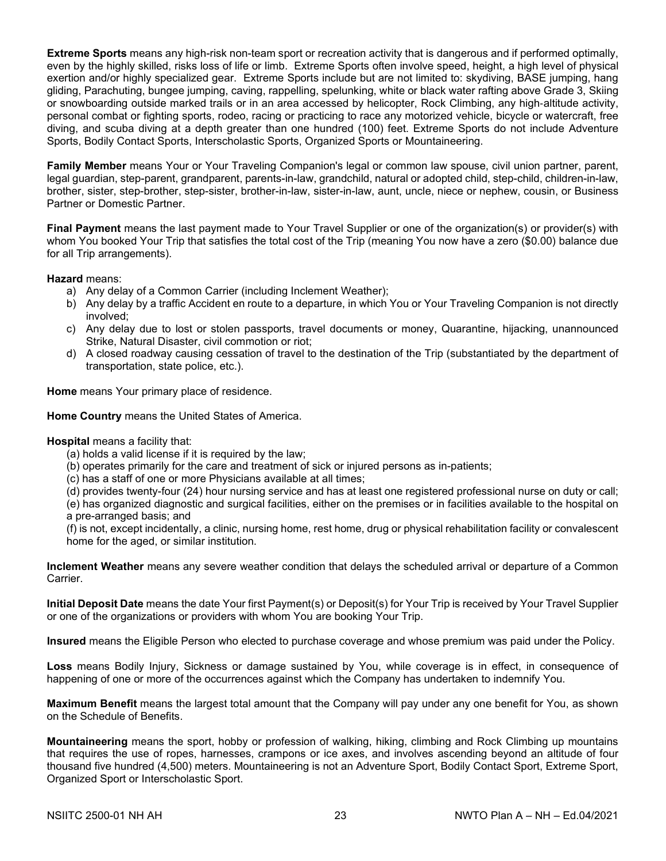**Extreme Sports** means any high-risk non-team sport or recreation activity that is dangerous and if performed optimally, even by the highly skilled, risks loss of life or limb. Extreme Sports often involve speed, height, a high level of physical exertion and/or highly specialized gear. Extreme Sports include but are not limited to: skydiving, BASE jumping, hang gliding, Parachuting, bungee jumping, caving, rappelling, spelunking, white or black water rafting above Grade 3, Skiing or snowboarding outside marked trails or in an area accessed by helicopter, Rock Climbing, any high‐altitude activity, personal combat or fighting sports, rodeo, racing or practicing to race any motorized vehicle, bicycle or watercraft, free diving, and scuba diving at a depth greater than one hundred (100) feet. Extreme Sports do not include Adventure Sports, Bodily Contact Sports, Interscholastic Sports, Organized Sports or Mountaineering.

**Family Member** means Your or Your Traveling Companion's legal or common law spouse, civil union partner, parent, legal guardian, step-parent, grandparent, parents-in-law, grandchild, natural or adopted child, step-child, children-in-law, brother, sister, step-brother, step-sister, brother-in-law, sister-in-law, aunt, uncle, niece or nephew, cousin, or Business Partner or Domestic Partner.

**Final Payment** means the last payment made to Your Travel Supplier or one of the organization(s) or provider(s) with whom You booked Your Trip that satisfies the total cost of the Trip (meaning You now have a zero (\$0.00) balance due for all Trip arrangements).

**Hazard** means:

- a) Any delay of a Common Carrier (including Inclement Weather);
- b) Any delay by a traffic Accident en route to a departure, in which You or Your Traveling Companion is not directly involved;
- c) Any delay due to lost or stolen passports, travel documents or money, Quarantine, hijacking, unannounced Strike, Natural Disaster, civil commotion or riot;
- d) A closed roadway causing cessation of travel to the destination of the Trip (substantiated by the department of transportation, state police, etc.).

**Home** means Your primary place of residence.

**Home Country** means the United States of America.

#### **Hospital** means a facility that:

- (a) holds a valid license if it is required by the law;
- (b) operates primarily for the care and treatment of sick or injured persons as in-patients;
- (c) has a staff of one or more Physicians available at all times;
- (d) provides twenty-four (24) hour nursing service and has at least one registered professional nurse on duty or call;

(e) has organized diagnostic and surgical facilities, either on the premises or in facilities available to the hospital on a pre-arranged basis; and

(f) is not, except incidentally, a clinic, nursing home, rest home, drug or physical rehabilitation facility or convalescent home for the aged, or similar institution.

**Inclement Weather** means any severe weather condition that delays the scheduled arrival or departure of a Common Carrier.

**Initial Deposit Date** means the date Your first Payment(s) or Deposit(s) for Your Trip is received by Your Travel Supplier or one of the organizations or providers with whom You are booking Your Trip.

**Insured** means the Eligible Person who elected to purchase coverage and whose premium was paid under the Policy.

**Loss** means Bodily Injury, Sickness or damage sustained by You, while coverage is in effect, in consequence of happening of one or more of the occurrences against which the Company has undertaken to indemnify You.

**Maximum Benefit** means the largest total amount that the Company will pay under any one benefit for You, as shown on the Schedule of Benefits.

**Mountaineering** means the sport, hobby or profession of walking, hiking, climbing and Rock Climbing up mountains that requires the use of ropes, harnesses, crampons or ice axes, and involves ascending beyond an altitude of four thousand five hundred (4,500) meters. Mountaineering is not an Adventure Sport, Bodily Contact Sport, Extreme Sport, Organized Sport or Interscholastic Sport.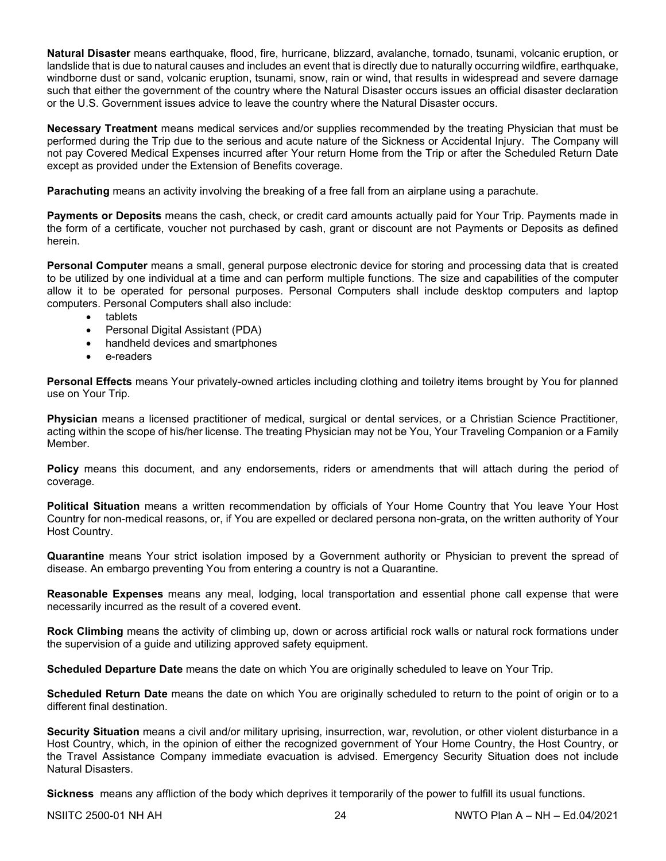**Natural Disaster** means earthquake, flood, fire, hurricane, blizzard, avalanche, tornado, tsunami, volcanic eruption, or landslide that is due to natural causes and includes an event that is directly due to naturally occurring wildfire, earthquake, windborne dust or sand, volcanic eruption, tsunami, snow, rain or wind, that results in widespread and severe damage such that either the government of the country where the Natural Disaster occurs issues an official disaster declaration or the U.S. Government issues advice to leave the country where the Natural Disaster occurs.

**Necessary Treatment** means medical services and/or supplies recommended by the treating Physician that must be performed during the Trip due to the serious and acute nature of the Sickness or Accidental Injury. The Company will not pay Covered Medical Expenses incurred after Your return Home from the Trip or after the Scheduled Return Date except as provided under the Extension of Benefits coverage.

**Parachuting** means an activity involving the breaking of a free fall from an airplane using a parachute.

**Payments or Deposits** means the cash, check, or credit card amounts actually paid for Your Trip. Payments made in the form of a certificate, voucher not purchased by cash, grant or discount are not Payments or Deposits as defined herein.

**Personal Computer** means a small, general purpose electronic device for storing and processing data that is created to be utilized by one individual at a time and can perform multiple functions. The size and capabilities of the computer allow it to be operated for personal purposes. Personal Computers shall include desktop computers and laptop computers. Personal Computers shall also include:

- **tablets**
- Personal Digital Assistant (PDA)
- handheld devices and smartphones
- e-readers

**Personal Effects** means Your privately-owned articles including clothing and toiletry items brought by You for planned use on Your Trip.

**Physician** means a licensed practitioner of medical, surgical or dental services, or a Christian Science Practitioner, acting within the scope of his/her license. The treating Physician may not be You, Your Traveling Companion or a Family Member.

**Policy** means this document, and any endorsements, riders or amendments that will attach during the period of coverage.

**Political Situation** means a written recommendation by officials of Your Home Country that You leave Your Host Country for non-medical reasons, or, if You are expelled or declared persona non-grata, on the written authority of Your Host Country.

**Quarantine** means Your strict isolation imposed by a Government authority or Physician to prevent the spread of disease. An embargo preventing You from entering a country is not a Quarantine.

**Reasonable Expenses** means any meal, lodging, local transportation and essential phone call expense that were necessarily incurred as the result of a covered event.

**Rock Climbing** means the activity of climbing up, down or across artificial rock walls or natural rock formations under the supervision of a guide and utilizing approved safety equipment.

**Scheduled Departure Date** means the date on which You are originally scheduled to leave on Your Trip.

**Scheduled Return Date** means the date on which You are originally scheduled to return to the point of origin or to a different final destination.

**Security Situation** means a civil and/or military uprising, insurrection, war, revolution, or other violent disturbance in a Host Country, which, in the opinion of either the recognized government of Your Home Country, the Host Country, or the Travel Assistance Company immediate evacuation is advised. Emergency Security Situation does not include Natural Disasters.

**Sickness** means any affliction of the body which deprives it temporarily of the power to fulfill its usual functions.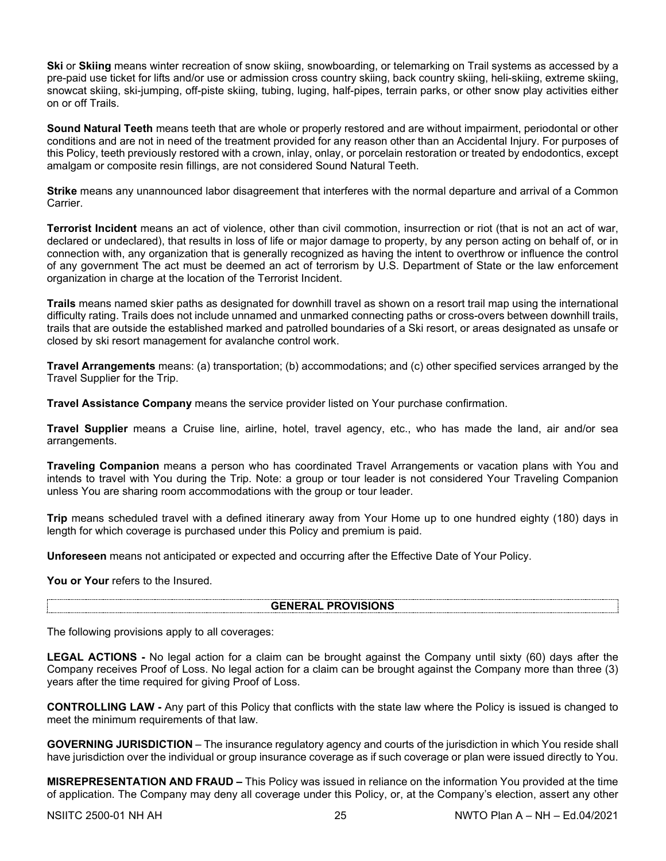**Ski** or **Skiing** means winter recreation of snow skiing, snowboarding, or telemarking on Trail systems as accessed by a pre-paid use ticket for lifts and/or use or admission cross country skiing, back country skiing, heli-skiing, extreme skiing, snowcat skiing, ski-jumping, off-piste skiing, tubing, luging, half-pipes, terrain parks, or other snow play activities either on or off Trails.

**Sound Natural Teeth** means teeth that are whole or properly restored and are without impairment, periodontal or other conditions and are not in need of the treatment provided for any reason other than an Accidental Injury. For purposes of this Policy, teeth previously restored with a crown, inlay, onlay, or porcelain restoration or treated by endodontics, except amalgam or composite resin fillings, are not considered Sound Natural Teeth.

**Strike** means any unannounced labor disagreement that interferes with the normal departure and arrival of a Common Carrier.

**Terrorist Incident** means an act of violence, other than civil commotion, insurrection or riot (that is not an act of war, declared or undeclared), that results in loss of life or major damage to property, by any person acting on behalf of, or in connection with, any organization that is generally recognized as having the intent to overthrow or influence the control of any government The act must be deemed an act of terrorism by U.S. Department of State or the law enforcement organization in charge at the location of the Terrorist Incident.

**Trails** means named skier paths as designated for downhill travel as shown on a resort trail map using the international difficulty rating. Trails does not include unnamed and unmarked connecting paths or cross-overs between downhill trails, trails that are outside the established marked and patrolled boundaries of a Ski resort, or areas designated as unsafe or closed by ski resort management for avalanche control work.

**Travel Arrangements** means: (a) transportation; (b) accommodations; and (c) other specified services arranged by the Travel Supplier for the Trip.

**Travel Assistance Company** means the service provider listed on Your purchase confirmation.

**Travel Supplier** means a Cruise line, airline, hotel, travel agency, etc., who has made the land, air and/or sea arrangements.

**Traveling Companion** means a person who has coordinated Travel Arrangements or vacation plans with You and intends to travel with You during the Trip. Note: a group or tour leader is not considered Your Traveling Companion unless You are sharing room accommodations with the group or tour leader.

**Trip** means scheduled travel with a defined itinerary away from Your Home up to one hundred eighty (180) days in length for which coverage is purchased under this Policy and premium is paid.

**Unforeseen** means not anticipated or expected and occurring after the Effective Date of Your Policy.

You or Your refers to the Insured.

#### **GENERAL PROVISIONS**

The following provisions apply to all coverages:

**LEGAL ACTIONS -** No legal action for a claim can be brought against the Company until sixty (60) days after the Company receives Proof of Loss. No legal action for a claim can be brought against the Company more than three (3) years after the time required for giving Proof of Loss.

**CONTROLLING LAW -** Any part of this Policy that conflicts with the state law where the Policy is issued is changed to meet the minimum requirements of that law.

**GOVERNING JURISDICTION** – The insurance regulatory agency and courts of the jurisdiction in which You reside shall have jurisdiction over the individual or group insurance coverage as if such coverage or plan were issued directly to You.

**MISREPRESENTATION AND FRAUD –** This Policy was issued in reliance on the information You provided at the time of application. The Company may deny all coverage under this Policy, or, at the Company's election, assert any other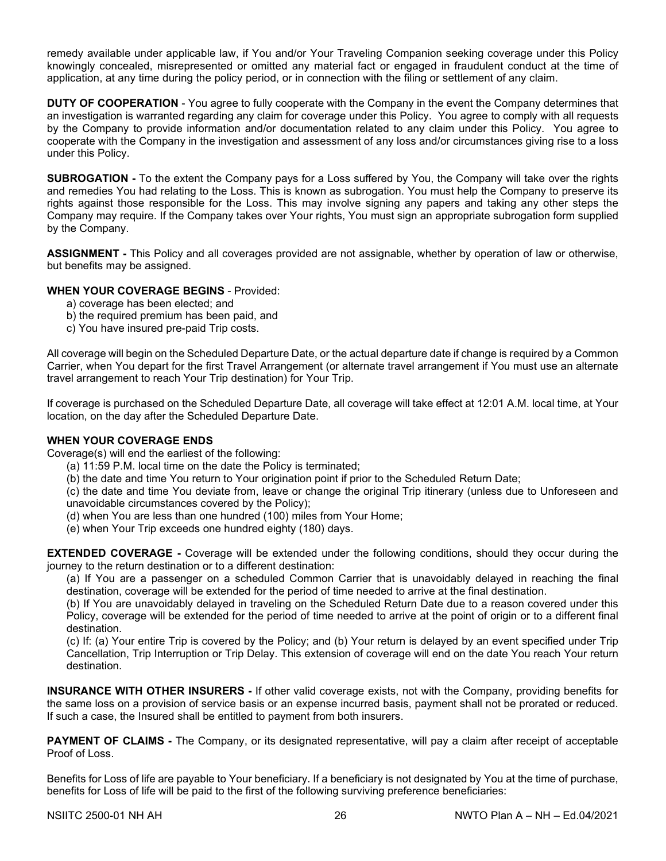remedy available under applicable law, if You and/or Your Traveling Companion seeking coverage under this Policy knowingly concealed, misrepresented or omitted any material fact or engaged in fraudulent conduct at the time of application, at any time during the policy period, or in connection with the filing or settlement of any claim.

**DUTY OF COOPERATION** - You agree to fully cooperate with the Company in the event the Company determines that an investigation is warranted regarding any claim for coverage under this Policy. You agree to comply with all requests by the Company to provide information and/or documentation related to any claim under this Policy. You agree to cooperate with the Company in the investigation and assessment of any loss and/or circumstances giving rise to a loss under this Policy.

**SUBROGATION -** To the extent the Company pays for a Loss suffered by You, the Company will take over the rights and remedies You had relating to the Loss. This is known as subrogation. You must help the Company to preserve its rights against those responsible for the Loss. This may involve signing any papers and taking any other steps the Company may require. If the Company takes over Your rights, You must sign an appropriate subrogation form supplied by the Company.

**ASSIGNMENT -** This Policy and all coverages provided are not assignable, whether by operation of law or otherwise, but benefits may be assigned.

## **WHEN YOUR COVERAGE BEGINS** - Provided:

- a) coverage has been elected; and
- b) the required premium has been paid, and
- c) You have insured pre-paid Trip costs.

All coverage will begin on the Scheduled Departure Date, or the actual departure date if change is required by a Common Carrier, when You depart for the first Travel Arrangement (or alternate travel arrangement if You must use an alternate travel arrangement to reach Your Trip destination) for Your Trip.

If coverage is purchased on the Scheduled Departure Date, all coverage will take effect at 12:01 A.M. local time, at Your location, on the day after the Scheduled Departure Date.

#### **WHEN YOUR COVERAGE ENDS**

Coverage(s) will end the earliest of the following:

- (a) 11:59 P.M. local time on the date the Policy is terminated;
- (b) the date and time You return to Your origination point if prior to the Scheduled Return Date;

(c) the date and time You deviate from, leave or change the original Trip itinerary (unless due to Unforeseen and unavoidable circumstances covered by the Policy);

- (d) when You are less than one hundred (100) miles from Your Home;
- (e) when Your Trip exceeds one hundred eighty (180) days.

**EXTENDED COVERAGE -** Coverage will be extended under the following conditions, should they occur during the journey to the return destination or to a different destination:

(a) If You are a passenger on a scheduled Common Carrier that is unavoidably delayed in reaching the final destination, coverage will be extended for the period of time needed to arrive at the final destination.

(b) If You are unavoidably delayed in traveling on the Scheduled Return Date due to a reason covered under this Policy, coverage will be extended for the period of time needed to arrive at the point of origin or to a different final destination.

(c) If: (a) Your entire Trip is covered by the Policy; and (b) Your return is delayed by an event specified under Trip Cancellation, Trip Interruption or Trip Delay. This extension of coverage will end on the date You reach Your return destination.

**INSURANCE WITH OTHER INSURERS -** If other valid coverage exists, not with the Company, providing benefits for the same loss on a provision of service basis or an expense incurred basis, payment shall not be prorated or reduced. If such a case, the Insured shall be entitled to payment from both insurers.

**PAYMENT OF CLAIMS -** The Company, or its designated representative, will pay a claim after receipt of acceptable Proof of Loss.

Benefits for Loss of life are payable to Your beneficiary. If a beneficiary is not designated by You at the time of purchase, benefits for Loss of life will be paid to the first of the following surviving preference beneficiaries: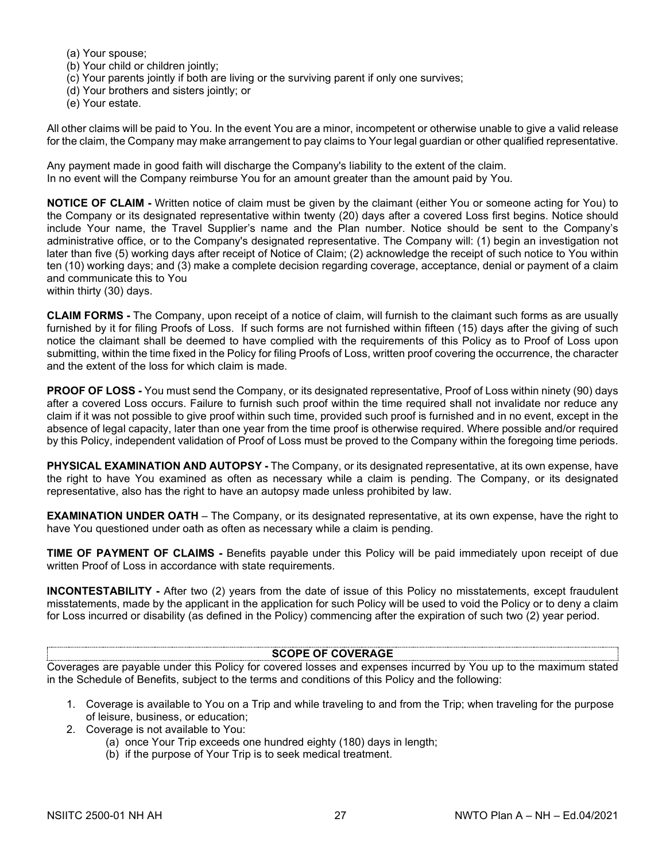- (a) Your spouse;
- (b) Your child or children jointly;
- (c) Your parents jointly if both are living or the surviving parent if only one survives;
- (d) Your brothers and sisters jointly; or
- (e) Your estate.

All other claims will be paid to You. In the event You are a minor, incompetent or otherwise unable to give a valid release for the claim, the Company may make arrangement to pay claims to Your legal guardian or other qualified representative.

Any payment made in good faith will discharge the Company's liability to the extent of the claim. In no event will the Company reimburse You for an amount greater than the amount paid by You.

**NOTICE OF CLAIM -** Written notice of claim must be given by the claimant (either You or someone acting for You) to the Company or its designated representative within twenty (20) days after a covered Loss first begins. Notice should include Your name, the Travel Supplier's name and the Plan number. Notice should be sent to the Company's administrative office, or to the Company's designated representative. The Company will: (1) begin an investigation not later than five (5) working days after receipt of Notice of Claim; (2) acknowledge the receipt of such notice to You within ten (10) working days; and (3) make a complete decision regarding coverage, acceptance, denial or payment of a claim and communicate this to You

within thirty (30) days.

**CLAIM FORMS -** The Company, upon receipt of a notice of claim, will furnish to the claimant such forms as are usually furnished by it for filing Proofs of Loss. If such forms are not furnished within fifteen (15) days after the giving of such notice the claimant shall be deemed to have complied with the requirements of this Policy as to Proof of Loss upon submitting, within the time fixed in the Policy for filing Proofs of Loss, written proof covering the occurrence, the character and the extent of the loss for which claim is made.

**PROOF OF LOSS -** You must send the Company, or its designated representative, Proof of Loss within ninety (90) days after a covered Loss occurs. Failure to furnish such proof within the time required shall not invalidate nor reduce any claim if it was not possible to give proof within such time, provided such proof is furnished and in no event, except in the absence of legal capacity, later than one year from the time proof is otherwise required. Where possible and/or required by this Policy, independent validation of Proof of Loss must be proved to the Company within the foregoing time periods.

**PHYSICAL EXAMINATION AND AUTOPSY -** The Company, or its designated representative, at its own expense, have the right to have You examined as often as necessary while a claim is pending. The Company, or its designated representative, also has the right to have an autopsy made unless prohibited by law.

**EXAMINATION UNDER OATH** – The Company, or its designated representative, at its own expense, have the right to have You questioned under oath as often as necessary while a claim is pending.

**TIME OF PAYMENT OF CLAIMS -** Benefits payable under this Policy will be paid immediately upon receipt of due written Proof of Loss in accordance with state requirements.

**INCONTESTABILITY -** After two (2) years from the date of issue of this Policy no misstatements, except fraudulent misstatements, made by the applicant in the application for such Policy will be used to void the Policy or to deny a claim for Loss incurred or disability (as defined in the Policy) commencing after the expiration of such two (2) year period.

#### **SCOPE OF COVERAGE**

Coverages are payable under this Policy for covered losses and expenses incurred by You up to the maximum stated in the Schedule of Benefits, subject to the terms and conditions of this Policy and the following:

- 1. Coverage is available to You on a Trip and while traveling to and from the Trip; when traveling for the purpose of leisure, business, or education;
- 2. Coverage is not available to You:
	- (a) once Your Trip exceeds one hundred eighty (180) days in length;
	- (b) if the purpose of Your Trip is to seek medical treatment.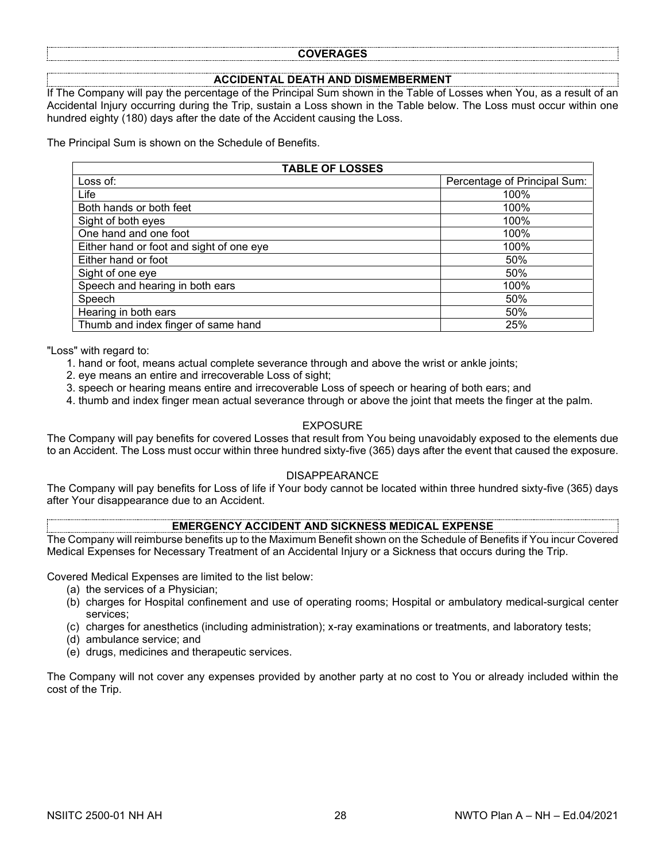#### **COVERAGES**

#### **ACCIDENTAL DEATH AND DISMEMBERMENT**

If The Company will pay the percentage of the Principal Sum shown in the Table of Losses when You, as a result of an Accidental Injury occurring during the Trip, sustain a Loss shown in the Table below. The Loss must occur within one hundred eighty (180) days after the date of the Accident causing the Loss.

The Principal Sum is shown on the Schedule of Benefits.

| <b>TABLE OF LOSSES</b>                   |                              |  |  |
|------------------------------------------|------------------------------|--|--|
| Loss of:                                 | Percentage of Principal Sum: |  |  |
| Life                                     | 100%                         |  |  |
| Both hands or both feet                  | 100%                         |  |  |
| Sight of both eyes                       | 100%                         |  |  |
| One hand and one foot                    | 100%                         |  |  |
| Either hand or foot and sight of one eye | 100%                         |  |  |
| Either hand or foot                      | 50%                          |  |  |
| Sight of one eye                         | 50%                          |  |  |
| Speech and hearing in both ears          | 100%                         |  |  |
| Speech                                   | 50%                          |  |  |
| Hearing in both ears                     | 50%                          |  |  |
| Thumb and index finger of same hand      | 25%                          |  |  |

"Loss" with regard to:

- 1. hand or foot, means actual complete severance through and above the wrist or ankle joints;
- 2. eye means an entire and irrecoverable Loss of sight;
- 3. speech or hearing means entire and irrecoverable Loss of speech or hearing of both ears; and
- 4. thumb and index finger mean actual severance through or above the joint that meets the finger at the palm.

#### EXPOSURE

The Company will pay benefits for covered Losses that result from You being unavoidably exposed to the elements due to an Accident. The Loss must occur within three hundred sixty-five (365) days after the event that caused the exposure.

#### DISAPPEARANCE

The Company will pay benefits for Loss of life if Your body cannot be located within three hundred sixty-five (365) days after Your disappearance due to an Accident.

## **EMERGENCY ACCIDENT AND SICKNESS MEDICAL EXPENSE**

The Company will reimburse benefits up to the Maximum Benefit shown on the Schedule of Benefits if You incur Covered Medical Expenses for Necessary Treatment of an Accidental Injury or a Sickness that occurs during the Trip.

Covered Medical Expenses are limited to the list below:

- (a) the services of a Physician;
- (b) charges for Hospital confinement and use of operating rooms; Hospital or ambulatory medical-surgical center services;
- (c) charges for anesthetics (including administration); x-ray examinations or treatments, and laboratory tests;
- (d) ambulance service; and
- (e) drugs, medicines and therapeutic services.

The Company will not cover any expenses provided by another party at no cost to You or already included within the cost of the Trip.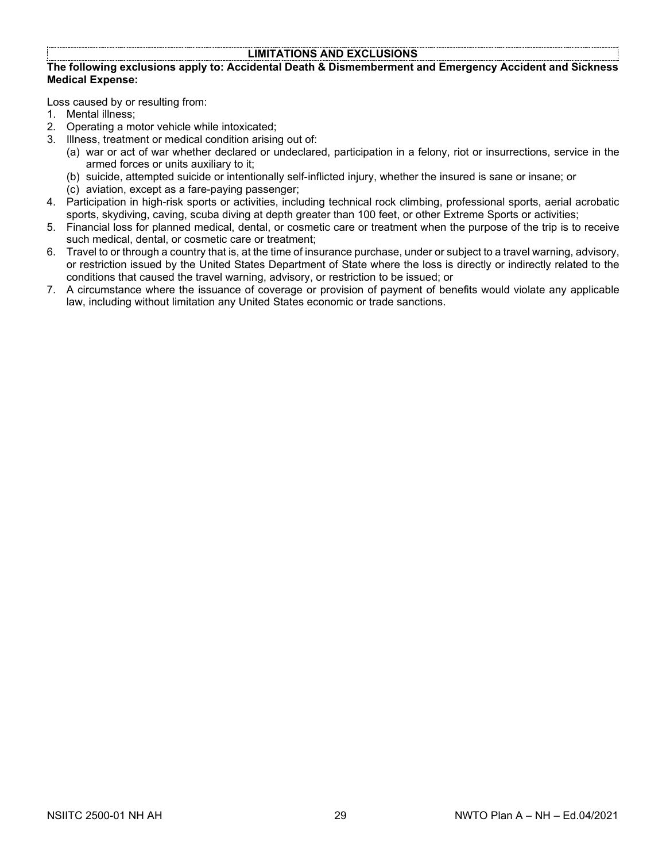## **LIMITATIONS AND EXCLUSIONS**

#### **The following exclusions apply to: Accidental Death & Dismemberment and Emergency Accident and Sickness Medical Expense:**

Loss caused by or resulting from:

- 1. Mental illness;
- 2. Operating a motor vehicle while intoxicated;
- 3. Illness, treatment or medical condition arising out of:
	- (a) war or act of war whether declared or undeclared, participation in a felony, riot or insurrections, service in the armed forces or units auxiliary to it;
		- (b) suicide, attempted suicide or intentionally self-inflicted injury, whether the insured is sane or insane; or
	- (c) aviation, except as a fare-paying passenger;
- 4. Participation in high-risk sports or activities, including technical rock climbing, professional sports, aerial acrobatic sports, skydiving, caving, scuba diving at depth greater than 100 feet, or other Extreme Sports or activities;
- 5. Financial loss for planned medical, dental, or cosmetic care or treatment when the purpose of the trip is to receive such medical, dental, or cosmetic care or treatment;
- 6. Travel to or through a country that is, at the time of insurance purchase, under or subject to a travel warning, advisory, or restriction issued by the United States Department of State where the loss is directly or indirectly related to the conditions that caused the travel warning, advisory, or restriction to be issued; or
- 7. A circumstance where the issuance of coverage or provision of payment of benefits would violate any applicable law, including without limitation any United States economic or trade sanctions.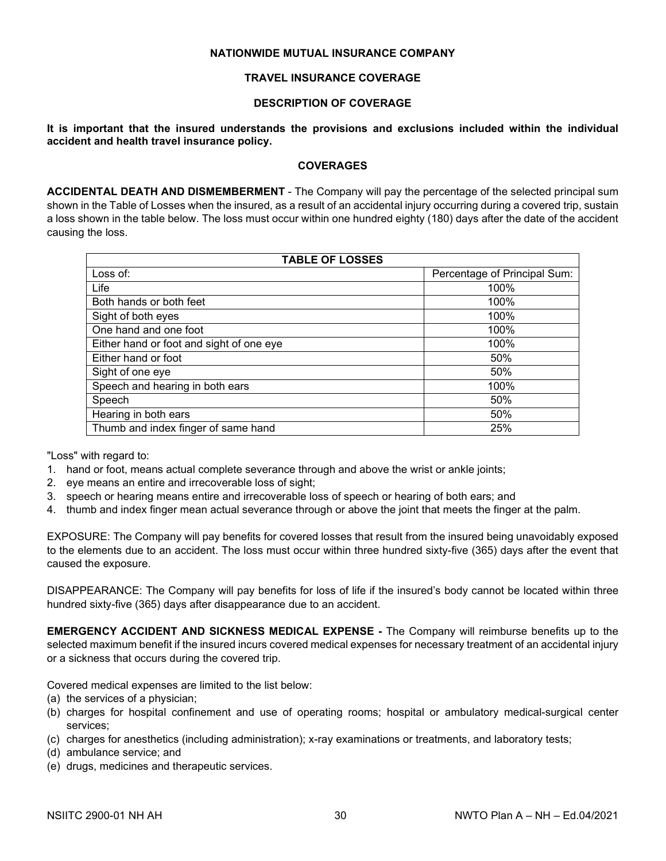## **NATIONWIDE MUTUAL INSURANCE COMPANY**

## **TRAVEL INSURANCE COVERAGE**

## **DESCRIPTION OF COVERAGE**

**It is important that the insured understands the provisions and exclusions included within the individual accident and health travel insurance policy.**

#### **COVERAGES**

**ACCIDENTAL DEATH AND DISMEMBERMENT** - The Company will pay the percentage of the selected principal sum shown in the Table of Losses when the insured, as a result of an accidental injury occurring during a covered trip, sustain a loss shown in the table below. The loss must occur within one hundred eighty (180) days after the date of the accident causing the loss.

| <b>TABLE OF LOSSES</b>                   |                              |  |
|------------------------------------------|------------------------------|--|
| Loss of:                                 | Percentage of Principal Sum: |  |
| Life                                     | 100%                         |  |
| Both hands or both feet                  | 100%                         |  |
| Sight of both eyes                       | 100%                         |  |
| One hand and one foot                    | 100%                         |  |
| Either hand or foot and sight of one eye | 100%                         |  |
| Either hand or foot                      | 50%                          |  |
| Sight of one eye                         | 50%                          |  |
| Speech and hearing in both ears          | 100%                         |  |
| Speech                                   | 50%                          |  |
| Hearing in both ears                     | 50%                          |  |
| Thumb and index finger of same hand      | 25%                          |  |

"Loss" with regard to:

- 1. hand or foot, means actual complete severance through and above the wrist or ankle joints;
- 2. eye means an entire and irrecoverable loss of sight;
- 3. speech or hearing means entire and irrecoverable loss of speech or hearing of both ears; and
- 4. thumb and index finger mean actual severance through or above the joint that meets the finger at the palm.

EXPOSURE: The Company will pay benefits for covered losses that result from the insured being unavoidably exposed to the elements due to an accident. The loss must occur within three hundred sixty-five (365) days after the event that caused the exposure.

DISAPPEARANCE: The Company will pay benefits for loss of life if the insured's body cannot be located within three hundred sixty-five (365) days after disappearance due to an accident.

**EMERGENCY ACCIDENT AND SICKNESS MEDICAL EXPENSE -** The Company will reimburse benefits up to the selected maximum benefit if the insured incurs covered medical expenses for necessary treatment of an accidental injury or a sickness that occurs during the covered trip.

Covered medical expenses are limited to the list below:

- (a) the services of a physician;
- (b) charges for hospital confinement and use of operating rooms; hospital or ambulatory medical-surgical center services;
- (c) charges for anesthetics (including administration); x-ray examinations or treatments, and laboratory tests;
- (d) ambulance service; and
- (e) drugs, medicines and therapeutic services.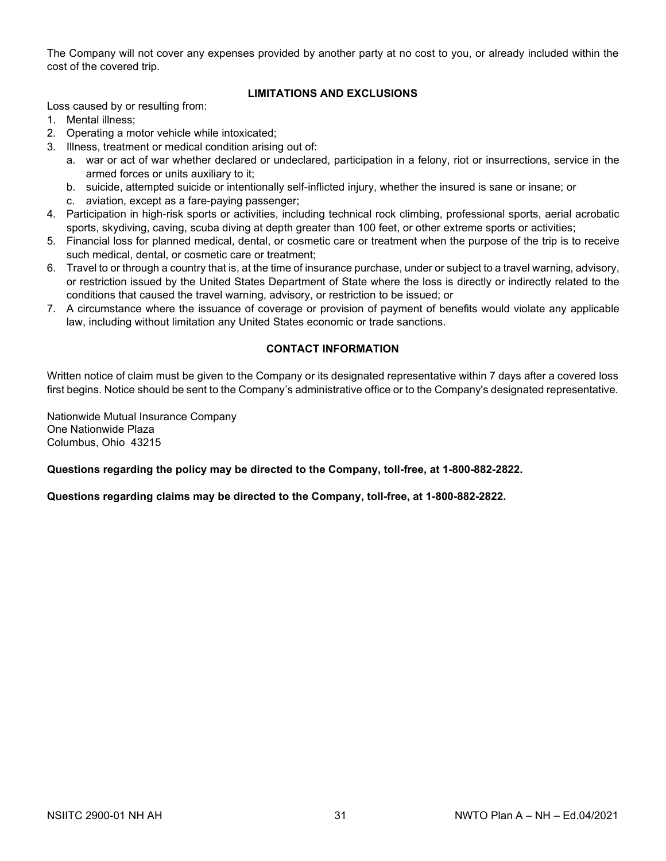The Company will not cover any expenses provided by another party at no cost to you, or already included within the cost of the covered trip.

## **LIMITATIONS AND EXCLUSIONS**

Loss caused by or resulting from:

- 1. Mental illness;
- 2. Operating a motor vehicle while intoxicated;
- 3. Illness, treatment or medical condition arising out of:
	- a. war or act of war whether declared or undeclared, participation in a felony, riot or insurrections, service in the armed forces or units auxiliary to it;
	- b. suicide, attempted suicide or intentionally self-inflicted injury, whether the insured is sane or insane; or
	- c. aviation, except as a fare-paying passenger;
- 4. Participation in high-risk sports or activities, including technical rock climbing, professional sports, aerial acrobatic sports, skydiving, caving, scuba diving at depth greater than 100 feet, or other extreme sports or activities;
- 5. Financial loss for planned medical, dental, or cosmetic care or treatment when the purpose of the trip is to receive such medical, dental, or cosmetic care or treatment;
- 6. Travel to or through a country that is, at the time of insurance purchase, under or subject to a travel warning, advisory, or restriction issued by the United States Department of State where the loss is directly or indirectly related to the conditions that caused the travel warning, advisory, or restriction to be issued; or
- 7. A circumstance where the issuance of coverage or provision of payment of benefits would violate any applicable law, including without limitation any United States economic or trade sanctions.

## **CONTACT INFORMATION**

Written notice of claim must be given to the Company or its designated representative within 7 days after a covered loss first begins. Notice should be sent to the Company's administrative office or to the Company's designated representative.

Nationwide Mutual Insurance Company One Nationwide Plaza Columbus, Ohio 43215

**Questions regarding the policy may be directed to the Company, toll-free, at 1-800-882-2822.**

**Questions regarding claims may be directed to the Company, toll-free, at 1-800-882-2822.**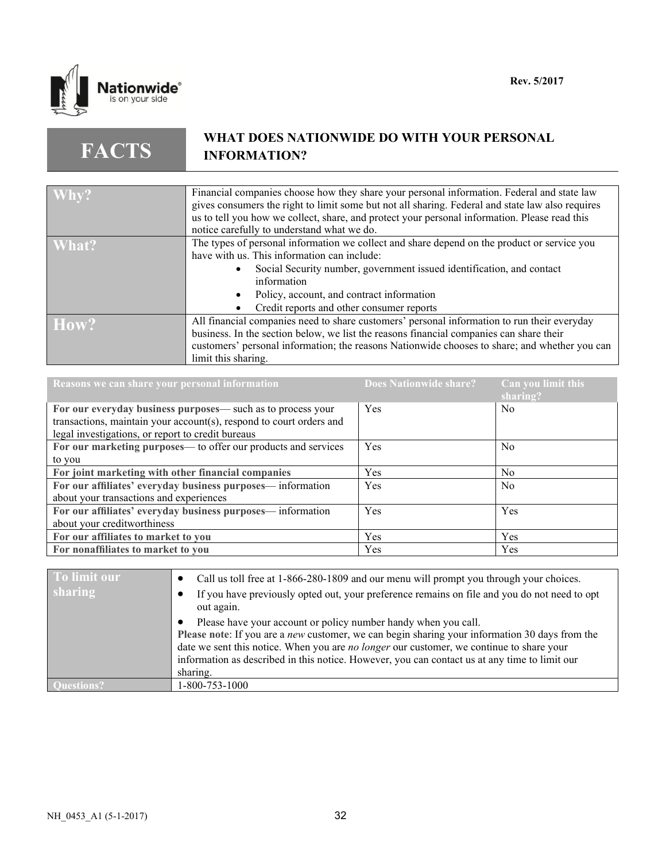

**FACTS**

## **WHAT DOES NATIONWIDE DO WITH YOUR PERSONAL INFORMATION?**

| $\mathbf{W}$ Why? | Financial companies choose how they share your personal information. Federal and state law       |
|-------------------|--------------------------------------------------------------------------------------------------|
|                   | gives consumers the right to limit some but not all sharing. Federal and state law also requires |
|                   | us to tell you how we collect, share, and protect your personal information. Please read this    |
|                   | notice carefully to understand what we do.                                                       |
| What?             | The types of personal information we collect and share depend on the product or service you      |
|                   | have with us. This information can include:                                                      |
|                   | Social Security number, government issued identification, and contact                            |
|                   | information                                                                                      |
|                   | Policy, account, and contract information                                                        |
|                   | Credit reports and other consumer reports                                                        |
| How?              | All financial companies need to share customers' personal information to run their everyday      |
|                   | business. In the section below, we list the reasons financial companies can share their          |
|                   | customers' personal information; the reasons Nationwide chooses to share; and whether you can    |
|                   | limit this sharing.                                                                              |

| Reasons we can share your personal information                      | Does Nationwide share? | Can you limit this<br>sharing? |
|---------------------------------------------------------------------|------------------------|--------------------------------|
| For our everyday business purposes— such as to process your         | Yes                    | N <sub>0</sub>                 |
| transactions, maintain your account(s), respond to court orders and |                        |                                |
| legal investigations, or report to credit bureaus                   |                        |                                |
| For our marketing purposes— to offer our products and services      | Yes                    | N <sub>0</sub>                 |
| to you                                                              |                        |                                |
| For joint marketing with other financial companies                  | <b>Yes</b>             | N <sub>0</sub>                 |
| For our affiliates' everyday business purposes— information         | Yes                    | N <sub>0</sub>                 |
| about your transactions and experiences                             |                        |                                |
| For our affiliates' everyday business purposes— information         | Yes                    | Yes                            |
| about your creditworthiness                                         |                        |                                |
| For our affiliates to market to you                                 | <b>Yes</b>             | Yes                            |
| For nonaffiliates to market to you                                  | Yes                    | Yes                            |

| To limit our | Call us toll free at 1-866-280-1809 and our menu will prompt you through your choices.                                                                                                                                                                                                                                                                                           |
|--------------|----------------------------------------------------------------------------------------------------------------------------------------------------------------------------------------------------------------------------------------------------------------------------------------------------------------------------------------------------------------------------------|
| sharing      | If you have previously opted out, your preference remains on file and you do not need to opt<br>out again.                                                                                                                                                                                                                                                                       |
|              | Please have your account or policy number handy when you call.<br>Please note: If you are a <i>new</i> customer, we can begin sharing your information 30 days from the<br>date we sent this notice. When you are no longer our customer, we continue to share your<br>information as described in this notice. However, you can contact us at any time to limit our<br>sharing. |
|              | 1-800-753-1000                                                                                                                                                                                                                                                                                                                                                                   |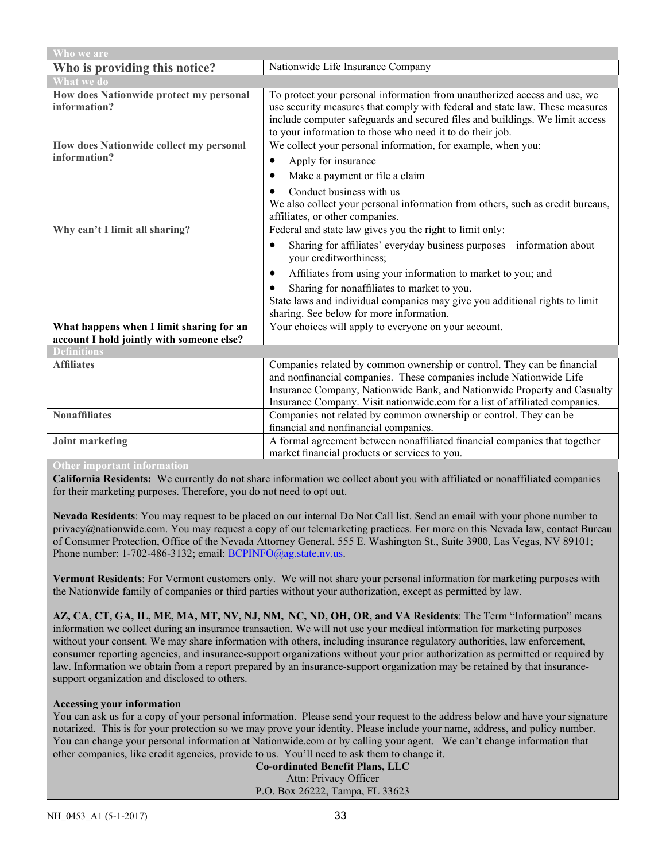| Who we are                                                                            |                                                                                                                                                                                                                                                                                                           |  |
|---------------------------------------------------------------------------------------|-----------------------------------------------------------------------------------------------------------------------------------------------------------------------------------------------------------------------------------------------------------------------------------------------------------|--|
| Who is providing this notice?                                                         | Nationwide Life Insurance Company                                                                                                                                                                                                                                                                         |  |
| <b>What we do</b>                                                                     |                                                                                                                                                                                                                                                                                                           |  |
| How does Nationwide protect my personal<br>information?                               | To protect your personal information from unauthorized access and use, we<br>use security measures that comply with federal and state law. These measures<br>include computer safeguards and secured files and buildings. We limit access<br>to your information to those who need it to do their job.    |  |
| How does Nationwide collect my personal                                               | We collect your personal information, for example, when you:                                                                                                                                                                                                                                              |  |
| information?                                                                          | Apply for insurance<br>$\bullet$                                                                                                                                                                                                                                                                          |  |
|                                                                                       | Make a payment or file a claim<br>٠                                                                                                                                                                                                                                                                       |  |
|                                                                                       | Conduct business with us<br>We also collect your personal information from others, such as credit bureaus,<br>affiliates, or other companies.                                                                                                                                                             |  |
| Why can't I limit all sharing?                                                        | Federal and state law gives you the right to limit only:                                                                                                                                                                                                                                                  |  |
|                                                                                       | Sharing for affiliates' everyday business purposes—information about<br>٠<br>your creditworthiness;                                                                                                                                                                                                       |  |
|                                                                                       | Affiliates from using your information to market to you; and<br>$\bullet$                                                                                                                                                                                                                                 |  |
|                                                                                       | Sharing for nonaffiliates to market to you.<br>$\bullet$                                                                                                                                                                                                                                                  |  |
|                                                                                       | State laws and individual companies may give you additional rights to limit<br>sharing. See below for more information.                                                                                                                                                                                   |  |
| What happens when I limit sharing for an<br>account I hold jointly with someone else? | Your choices will apply to everyone on your account.                                                                                                                                                                                                                                                      |  |
| <b>Definitions</b>                                                                    |                                                                                                                                                                                                                                                                                                           |  |
| <b>Affiliates</b>                                                                     | Companies related by common ownership or control. They can be financial<br>and nonfinancial companies. These companies include Nationwide Life<br>Insurance Company, Nationwide Bank, and Nationwide Property and Casualty<br>Insurance Company. Visit nationwide.com for a list of affiliated companies. |  |
| <b>Nonaffiliates</b>                                                                  | Companies not related by common ownership or control. They can be                                                                                                                                                                                                                                         |  |
|                                                                                       | financial and nonfinancial companies.                                                                                                                                                                                                                                                                     |  |
| <b>Joint marketing</b>                                                                | A formal agreement between nonaffiliated financial companies that together                                                                                                                                                                                                                                |  |
|                                                                                       | market financial products or services to you.                                                                                                                                                                                                                                                             |  |
| <b>Other important information</b>                                                    |                                                                                                                                                                                                                                                                                                           |  |

**California Residents:** We currently do not share information we collect about you with affiliated or nonaffiliated companies for their marketing purposes. Therefore, you do not need to opt out.

**Nevada Residents**: You may request to be placed on our internal Do Not Call list. Send an email with your phone number to privacy@nationwide.com. You may request a copy of our telemarketing practices. For more on this Nevada law, contact Bureau of Consumer Protection, Office of the Nevada Attorney General, 555 E. Washington St., Suite 3900, Las Vegas, NV 89101; Phone number: 1-702-486-3132; email[: BCPINFO@ag.state.nv.us.](mailto:BCPINFO@ag.state.nv.us)

**Vermont Residents**: For Vermont customers only. We will not share your personal information for marketing purposes with the Nationwide family of companies or third parties without your authorization, except as permitted by law.

**AZ, CA, CT, GA, IL, ME, MA, MT, NV, NJ, NM, NC, ND, OH, OR, and VA Residents**: The Term "Information" means information we collect during an insurance transaction. We will not use your medical information for marketing purposes without your consent. We may share information with others, including insurance regulatory authorities, law enforcement, consumer reporting agencies, and insurance-support organizations without your prior authorization as permitted or required by law. Information we obtain from a report prepared by an insurance-support organization may be retained by that insurancesupport organization and disclosed to others.

#### **Accessing your information**

You can ask us for a copy of your personal information. Please send your request to the address below and have your signature notarized. This is for your protection so we may prove your identity. Please include your name, address, and policy number. You can change your personal information at Nationwide.com or by calling your agent. We can't change information that other companies, like credit agencies, provide to us. You'll need to ask them to change it.

**Co-ordinated Benefit Plans, LLC** Attn: Privacy Officer P.O. Box 26222, Tampa, FL 33623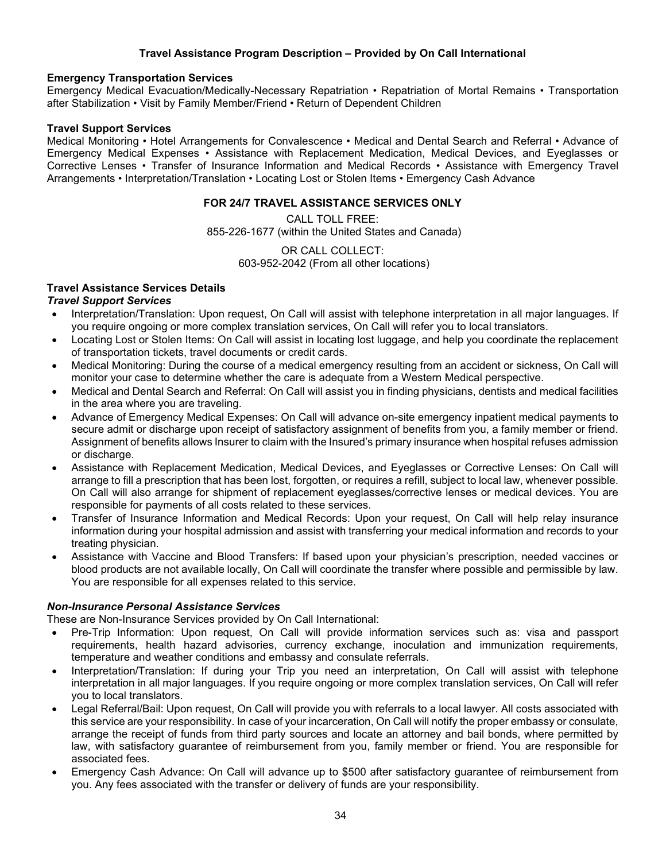## **Travel Assistance Program Description – Provided by On Call International**

#### **Emergency Transportation Services**

Emergency Medical Evacuation/Medically-Necessary Repatriation • Repatriation of Mortal Remains • Transportation after Stabilization • Visit by Family Member/Friend • Return of Dependent Children

#### **Travel Support Services**

Medical Monitoring • Hotel Arrangements for Convalescence • Medical and Dental Search and Referral • Advance of Emergency Medical Expenses • Assistance with Replacement Medication, Medical Devices, and Eyeglasses or Corrective Lenses • Transfer of Insurance Information and Medical Records • Assistance with Emergency Travel Arrangements • Interpretation/Translation • Locating Lost or Stolen Items • Emergency Cash Advance

### **FOR 24/7 TRAVEL ASSISTANCE SERVICES ONLY**

CALL TOLL FREE: 855-226-1677 (within the United States and Canada)

> OR CALL COLLECT: 603-952-2042 (From all other locations)

## **Travel Assistance Services Details**

#### *Travel Support Services*

- Interpretation/Translation: Upon request, On Call will assist with telephone interpretation in all major languages. If you require ongoing or more complex translation services, On Call will refer you to local translators.
- Locating Lost or Stolen Items: On Call will assist in locating lost luggage, and help you coordinate the replacement of transportation tickets, travel documents or credit cards.
- Medical Monitoring: During the course of a medical emergency resulting from an accident or sickness, On Call will monitor your case to determine whether the care is adequate from a Western Medical perspective.
- Medical and Dental Search and Referral: On Call will assist you in finding physicians, dentists and medical facilities in the area where you are traveling.
- Advance of Emergency Medical Expenses: On Call will advance on-site emergency inpatient medical payments to secure admit or discharge upon receipt of satisfactory assignment of benefits from you, a family member or friend. Assignment of benefits allows Insurer to claim with the Insured's primary insurance when hospital refuses admission or discharge.
- Assistance with Replacement Medication, Medical Devices, and Eyeglasses or Corrective Lenses: On Call will arrange to fill a prescription that has been lost, forgotten, or requires a refill, subject to local law, whenever possible. On Call will also arrange for shipment of replacement eyeglasses/corrective lenses or medical devices. You are responsible for payments of all costs related to these services.
- Transfer of Insurance Information and Medical Records: Upon your request, On Call will help relay insurance information during your hospital admission and assist with transferring your medical information and records to your treating physician.
- Assistance with Vaccine and Blood Transfers: If based upon your physician's prescription, needed vaccines or blood products are not available locally, On Call will coordinate the transfer where possible and permissible by law. You are responsible for all expenses related to this service.

#### *Non-Insurance Personal Assistance Services*

These are Non-Insurance Services provided by On Call International:

- Pre-Trip Information: Upon request, On Call will provide information services such as: visa and passport requirements, health hazard advisories, currency exchange, inoculation and immunization requirements, temperature and weather conditions and embassy and consulate referrals.
- Interpretation/Translation: If during your Trip you need an interpretation, On Call will assist with telephone interpretation in all major languages. If you require ongoing or more complex translation services, On Call will refer you to local translators.
- Legal Referral/Bail: Upon request, On Call will provide you with referrals to a local lawyer. All costs associated with this service are your responsibility. In case of your incarceration, On Call will notify the proper embassy or consulate, arrange the receipt of funds from third party sources and locate an attorney and bail bonds, where permitted by law, with satisfactory guarantee of reimbursement from you, family member or friend. You are responsible for associated fees.
- Emergency Cash Advance: On Call will advance up to \$500 after satisfactory guarantee of reimbursement from you. Any fees associated with the transfer or delivery of funds are your responsibility.